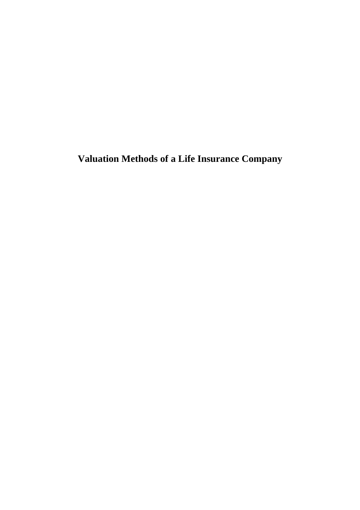**Valuation Methods of a Life Insurance Company**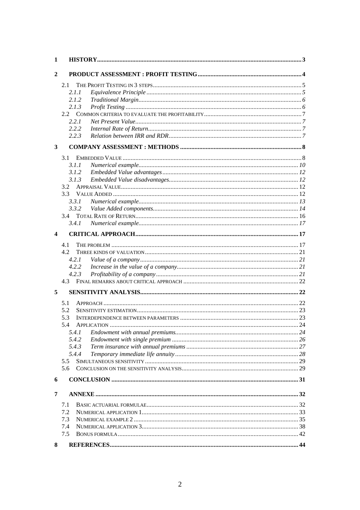| 1 |       |  |
|---|-------|--|
| 2 |       |  |
|   | 2.1   |  |
|   | 2.1.1 |  |
|   | 2.1.2 |  |
|   | 2.1.3 |  |
|   |       |  |
|   | 2.2.1 |  |
|   | 2.2.2 |  |
|   | 2.2.3 |  |
| 3 |       |  |
|   | 3.1   |  |
|   | 3.1.1 |  |
|   | 3.1.2 |  |
|   | 3.1.3 |  |
|   | 3.2   |  |
|   | 3.3   |  |
|   | 3.3.1 |  |
|   | 3.3.2 |  |
|   | 3.4   |  |
|   | 3.4.1 |  |
| 4 |       |  |
|   | 4.1   |  |
|   | 4.2   |  |
|   | 4.2.1 |  |
|   | 4.2.2 |  |
|   | 4.2.3 |  |
|   | 4.3   |  |
| 5 |       |  |
|   | 5.1   |  |
|   | 5.2   |  |
|   | 5.3   |  |
|   | 5.4   |  |
|   | 5.4.1 |  |
|   | 5.4.2 |  |
|   | 5.4.3 |  |
|   | 5.4.4 |  |
|   | 5.5   |  |
|   | 5.6   |  |
| 6 |       |  |
| 7 |       |  |
|   | 7.1   |  |
|   | 7.2   |  |
|   | 7.3   |  |
|   | 7.4   |  |
|   | 7.5   |  |
| 8 |       |  |
|   |       |  |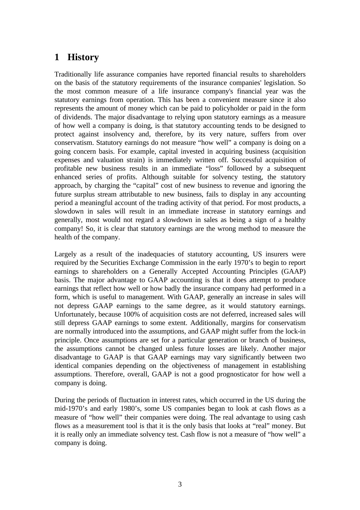# **1 History**

Traditionally life assurance companies have reported financial results to shareholders on the basis of the statutory requirements of the insurance companies' legislation. So the most common measure of a life insurance company's financial year was the statutory earnings from operation. This has been a convenient measure since it also represents the amount of money which can be paid to policyholder or paid in the form of dividends. The major disadvantage to relying upon statutory earnings as a measure of how well a company is doing, is that statutory accounting tends to be designed to protect against insolvency and, therefore, by its very nature, suffers from over conservatism. Statutory earnings do not measure "how well" a company is doing on a going concern basis. For example, capital invested in acquiring business (acquisition expenses and valuation strain) is immediately written off. Successful acquisition of profitable new business results in an immediate "loss" followed by a subsequent enhanced series of profits. Although suitable for solvency testing, the statutory approach, by charging the "capital" cost of new business to revenue and ignoring the future surplus stream attributable to new business, fails to display in any accounting period a meaningful account of the trading activity of that period. For most products, a slowdown in sales will result in an immediate increase in statutory earnings and generally, most would not regard a slowdown in sales as being a sign of a healthy company! So, it is clear that statutory earnings are the wrong method to measure the health of the company.

Largely as a result of the inadequacies of statutory accounting, US insurers were required by the Securities Exchange Commission in the early 1970's to begin to report earnings to shareholders on a Generally Accepted Accounting Principles (GAAP) basis. The major advantage to GAAP accounting is that it does attempt to produce earnings that reflect how well or how badly the insurance company had performed in a form, which is useful to management. With GAAP, generally an increase in sales will not depress GAAP earnings to the same degree, as it would statutory earnings. Unfortunately, because 100% of acquisition costs are not deferred, increased sales will still depress GAAP earnings to some extent. Additionally, margins for conservatism are normally introduced into the assumptions, and GAAP might suffer from the lock-in principle. Once assumptions are set for a particular generation or branch of business, the assumptions cannot be changed unless future losses are likely. Another major disadvantage to GAAP is that GAAP earnings may vary significantly between two identical companies depending on the objectiveness of management in establishing assumptions. Therefore, overall, GAAP is not a good prognosticator for how well a company is doing.

During the periods of fluctuation in interest rates, which occurred in the US during the mid-1970's and early 1980's, some US companies began to look at cash flows as a measure of "how well" their companies were doing. The real advantage to using cash flows as a measurement tool is that it is the only basis that looks at "real" money. But it is really only an immediate solvency test. Cash flow is not a measure of "how well" a company is doing.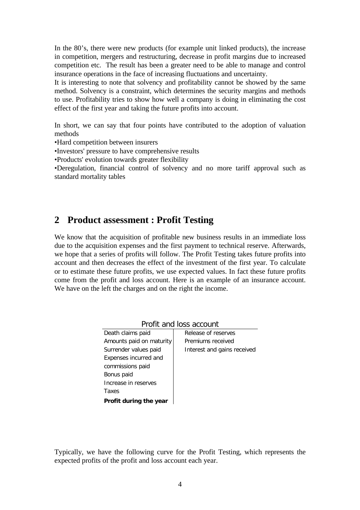In the 80's, there were new products (for example unit linked products), the increase in competition, mergers and restructuring, decrease in profit margins due to increased competition etc. The result has been a greater need to be able to manage and control insurance operations in the face of increasing fluctuations and uncertainty.

It is interesting to note that solvency and profitability cannot be showed by the same method. Solvency is a constraint, which determines the security margins and methods to use. Profitability tries to show how well a company is doing in eliminating the cost effect of the first year and taking the future profits into account.

In short, we can say that four points have contributed to the adoption of valuation methods

•Hard competition between insurers

•Investors' pressure to have comprehensive results

•Products' evolution towards greater flexibility

•Deregulation, financial control of solvency and no more tariff approval such as standard mortality tables

# **2 Product assessment : Profit Testing**

We know that the acquisition of profitable new business results in an immediate loss due to the acquisition expenses and the first payment to technical reserve. Afterwards, we hope that a series of profits will follow. The Profit Testing takes future profits into account and then decreases the effect of the investment of the first year. To calculate or to estimate these future profits, we use expected values. In fact these future profits come from the profit and loss account. Here is an example of an insurance account. We have on the left the charges and on the right the income.

| TTUNI UNU 1033 UCCOUNT   |                             |  |  |
|--------------------------|-----------------------------|--|--|
| Death claims paid        | Release of reserves         |  |  |
| Amounts paid on maturity | Premiums received           |  |  |
| Surrender values paid    | Interest and gains received |  |  |
| Expenses incurred and    |                             |  |  |
| commissions paid         |                             |  |  |
| Bonus paid               |                             |  |  |
| Increase in reserves     |                             |  |  |
| Taxes                    |                             |  |  |
| Profit during the year   |                             |  |  |

Profit and loss account

Typically, we have the following curve for the Profit Testing, which represents the expected profits of the profit and loss account each year.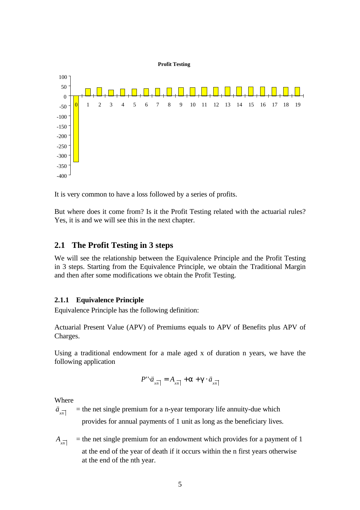

It is very common to have a loss followed by a series of profits.

But where does it come from? Is it the Profit Testing related with the actuarial rules? Yes, it is and we will see this in the next chapter.

### **2.1 The Profit Testing in 3 steps**

We will see the relationship between the Equivalence Principle and the Profit Testing in 3 steps. Starting from the Equivalence Principle, we obtain the Traditional Margin and then after some modifications we obtain the Profit Testing.

### **2.1.1 Equivalence Principle**

Equivalence Principle has the following definition:

Actuarial Present Value (APV) of Premiums equals to APV of Benefits plus APV of Charges.

Using a traditional endowment for a male aged x of duration n years, we have the following application

$$
P'' \cdot \ddot{a}_{x\overline{n}|} = A_{x\overline{n}} + a + g \cdot \ddot{a}_{x\overline{n}|}
$$

Where

 $\ddot{a}_{x\overline{n}}$ *ä* = the net single premium for a n-year temporary life annuity-due which provides for annual payments of 1 unit as long as the beneficiary lives.

 $A_{x\overline{n}}$ = the net single premium for an endowment which provides for a payment of 1 at the end of the year of death if it occurs within the n first years otherwise at the end of the nth year.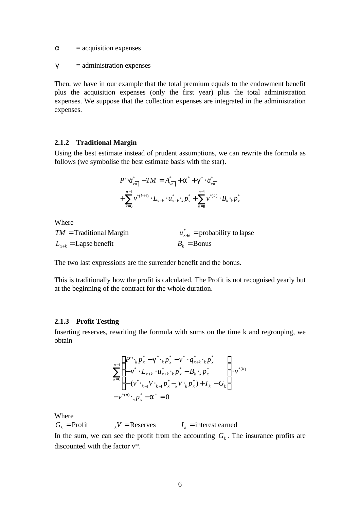*a* = acquisition expenses

 $g =$ administration expenses

Then, we have in our example that the total premium equals to the endowment benefit plus the acquisition expenses (only the first year) plus the total administration expenses. We suppose that the collection expenses are integrated in the administration expenses.

#### **2.1.2 Traditional Margin**

Using the best estimate instead of prudent assumptions, we can rewrite the formula as follows (we symbolise the best estimate basis with the star).

$$
P'' \cdot \ddot{a}_{x\overline{n}}^* - TM = A_{x\overline{n}}^* + \mathbf{a}^* + \mathbf{g}^* \cdot \ddot{a}_{x\overline{n}}^* -
$$
  
+ 
$$
\sum_{k=0}^{n-1} v^{*(k+1)} \cdot L_{x+k} \cdot u_{x+k}^* \cdot k p_x^* + \sum_{k=0}^{n-1} v^{*(k)} \cdot B_k \cdot k p_x^*
$$

Where

| $TM =$ Traditional Margin        | $u_{x+k}^*$ = probability to lapse |
|----------------------------------|------------------------------------|
| $L_{x+k} = \text{Lapse benefit}$ | $B_{\iota} = \text{Bonus}$         |

The two last expressions are the surrender benefit and the bonus.

This is traditionally how the profit is calculated. The Profit is not recognised yearly but at the beginning of the contract for the whole duration.

#### **2.1.3 Profit Testing**

Inserting reserves, rewriting the formula with sums on the time k and regrouping, we obtain

$$
\sum_{k=0}^{n-1} \begin{Bmatrix} P'' & P_x^* - g^* & P_x^* - v^* & q_{x+k}^* & P_x^* \\ -v^* & L_{x+k} & u_{x+k}^* & P_x^* - B_{k} & P_x^* \\ -v^* & H_{x+k} & H_{x-k}^* & H_{x-k}^* & H_{x-k}^* \end{Bmatrix} \cdot v^{*(k)}
$$

$$
-v^{*(n)} \cdot {}_{n}p_{x}^* - a^* = 0
$$

Where

 $G_k$  = Profit  $V = \text{Reserves}$  *I<sub>k</sub>* = interest earned

In the sum, we can see the profit from the accounting  $G_k$ . The insurance profits are discounted with the factor v\*.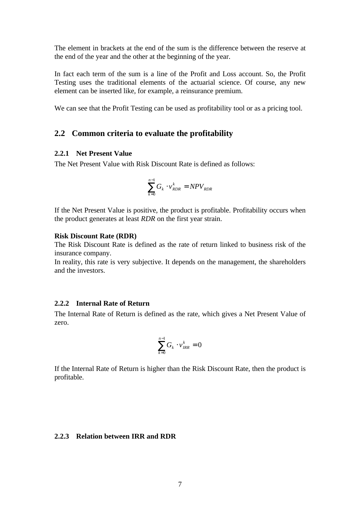The element in brackets at the end of the sum is the difference between the reserve at the end of the year and the other at the beginning of the year.

In fact each term of the sum is a line of the Profit and Loss account. So, the Profit Testing uses the traditional elements of the actuarial science. Of course, any new element can be inserted like, for example, a reinsurance premium.

We can see that the Profit Testing can be used as profitability tool or as a pricing tool.

### **2.2 Common criteria to evaluate the profitability**

#### **2.2.1 Net Present Value**

The Net Present Value with Risk Discount Rate is defined as follows:

$$
\sum_{k=0}^{n-1} G_k \cdot v_{RDR}^k = NPV_{RDR}
$$

If the Net Present Value is positive, the product is profitable. Profitability occurs when the product generates at least *RDR* on the first year strain.

#### **Risk Discount Rate (RDR)**

The Risk Discount Rate is defined as the rate of return linked to business risk of the insurance company.

In reality, this rate is very subjective. It depends on the management, the shareholders and the investors.

#### **2.2.2 Internal Rate of Return**

The Internal Rate of Return is defined as the rate, which gives a Net Present Value of zero.

$$
\sum_{k=0}^{n-1} G_k \cdot v_{\text{IRR}}^k = 0
$$

If the Internal Rate of Return is higher than the Risk Discount Rate, then the product is profitable.

### **2.2.3 Relation between IRR and RDR**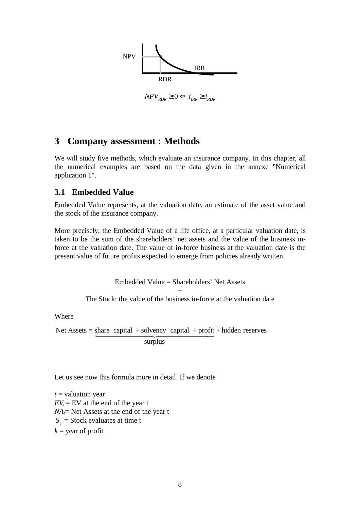

 $NPV_{RDR} \geq 0 \Leftrightarrow i_{RRR} \geq i_{RDR}$ 

# **3 Company assessment : Methods**

We will study five methods, which evaluate an insurance company. In this chapter, all the numerical examples are based on the data given in the annexe "Numerical application 1".

### **3.1 Embedded Value**

Embedded Value represents, at the valuation date, an estimate of the asset value and the stock of the insurance company.

More precisely, the Embedded Value of a life office, at a particular valuation date, is taken to be the sum of the shareholders' net assets and the value of the business inforce at the valuation date. The value of in-force business at the valuation date is the present value of future profits expected to emerge from policies already written.

> Embedded Value = Shareholders' Net Assets + The Stock: the value of the business in-force at the valuation date

Where

Net Assets =  $\underbrace{\text{share capital} + \text{solvency capital} + \text{profit}}$  + hidden reserves surplus

Let us see now this formula more in detail. If we denote

*t* = valuation year  $EV_t = EV$  at the end of the year t  $NA<sub>t</sub>$  Net Assets at the end of the year t  $S_t$  = Stock evaluates at time t  $k =$  year of profit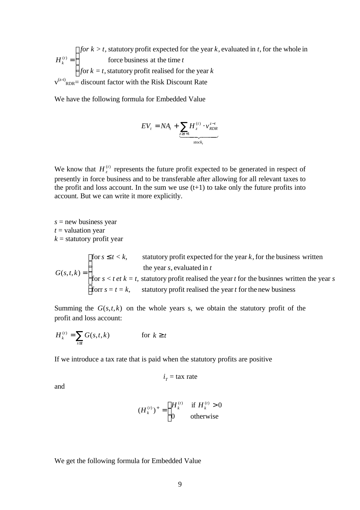$\overline{\mathsf{I}}$  $\vert$ ∤  $\overline{\phantom{a}}$ = *for*  $k = t$ , statutory profit realised for the year  $k$ *t for*  $k > t$ , statutory profit expected for the year  $k$ , evaluated in t  $H_{\scriptscriptstyle k}^{\scriptscriptstyle (t)}$ *k* for  $k = t$ , statutory profit realised for the year force business at the time  $> t$ , statutory profit expected for the year k, evaluated in t, for the whole in  $(t)$  $v^{(z-t)}$ <sub>RDR</sub>= discount factor with the Risk Discount Rate

We have the following formula for Embedded Value

$$
EV_{t} = NA_{t} + \underbrace{\sum_{z \ge t+1} H_{z}^{(t)} \cdot v_{RDR}^{z-t}}_{stock_{t}}
$$

We know that  $H_z^{(t)}$  represents the future profit expected to be generated in respect of presently in force business and to be transferable after allowing for all relevant taxes to the profit and loss account. In the sum we use  $(t+1)$  to take only the future profits into account. But we can write it more explicitly.

*s* = new business year *t* = valuation year  $k =$  statutory profit year

 $\mathbf{I}$ T t  $\vert$ ∤  $\int$  for  $s \leq$ = forr  $s = t = k$ , statutory profit realised the year t for the new business  $s < t$  *et*  $k = t$ , statutory profit realised the year *t* for the businnes written the year *s s*, evaluated in *t*  $s \le t < k$ , statutory profit expected for the year k  $G(s,t,k)$ for  $s < t$  et  $k = t$ , statutory profit realised the year t for the businnes written the year the year s, evaluated in for  $s \le t < k$ , statutory profit expected for the year k, for the business written  $(s, t, k)$ 

Summing the  $G(s,t,k)$  on the whole years s, we obtain the statutory profit of the profit and loss account:

$$
H_k^{(t)} = \sum_{s \le t} G(s, t, k) \qquad \text{for } k \ge t
$$

If we introduce a tax rate that is paid when the statutory profits are positive

$$
iT = \text{tax rate}
$$

and

$$
(H_k^{(t)})^+ = \begin{cases} H_k^{(t)} & \text{if } H_k^{(t)} > 0\\ 0 & \text{otherwise} \end{cases}
$$

We get the following formula for Embedded Value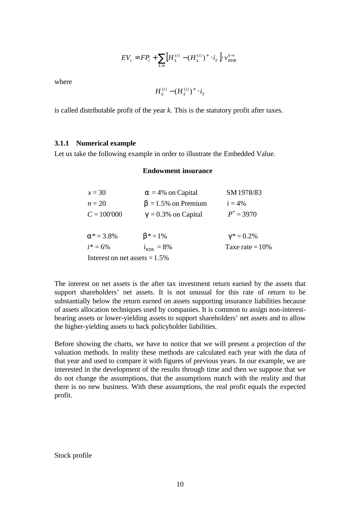$$
EV_{t} = FP_{t} + \sum_{k>t} \left[ H_{k}^{(t)} - (H_{k}^{(t)})^{+} \cdot i_{T} \right] \cdot v_{RDR}^{k-t}
$$

where

$$
H_k^{(t)} - (H_k^{(t)})^+ \cdot i_T
$$

is called distributable profit of the year *k*. This is the statutory profit after taxes.

#### **3.1.1 Numerical example**

Let us take the following example in order to illustrate the Embedded Value.

#### **Endowment insurance**

| $x=30$                           | $a = 4\%$ on Capital            | SM 1978/83        |
|----------------------------------|---------------------------------|-------------------|
| $n=20$                           | $\mathbf{b} = 1.5\%$ on Premium | $i = 4\%$         |
| $C = 100'000$                    | $g = 0.3\%$ on Capital          | $P'' = 3970$      |
|                                  |                                 |                   |
| $a^* = 3.8\%$                    | $b^* = 1\%$                     | $g^* = 0.2\%$     |
| $i^* = 6\%$                      | $i_{RDR}$ = 8%                  | Taxe rate $=10\%$ |
| Interest on net assets $= 1.5\%$ |                                 |                   |

The interest on net assets is the after tax investment return earned by the assets that support shareholders' net assets. It is not unusual for this rate of return to be substantially below the return earned on assets supporting insurance liabilities because of assets allocation techniques used by companies. It is common to assign non-interestbearing assets or lower-yielding assets to support shareholders' net assets and to allow the higher-yielding assets to back policyholder liabilities.

Before showing the charts, we have to notice that we will present a projection of the valuation methods. In reality these methods are calculated each year with the data of that year and used to compare it with figures of previous years. In our example, we are interested in the development of the results through time and then we suppose that we do not change the assumptions, that the assumptions match with the reality and that there is no new business. With these assumptions, the real profit equals the expected profit.

Stock profile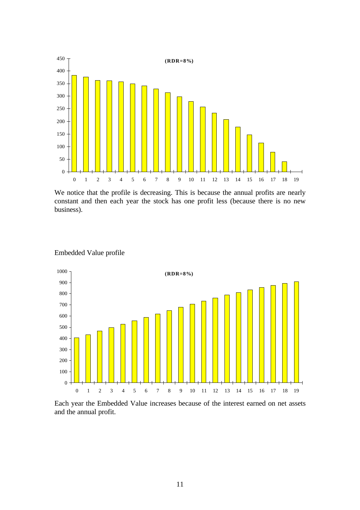

We notice that the profile is decreasing. This is because the annual profits are nearly constant and then each year the stock has one profit less (because there is no new business).



Embedded Value profile

Each year the Embedded Value increases because of the interest earned on net assets and the annual profit.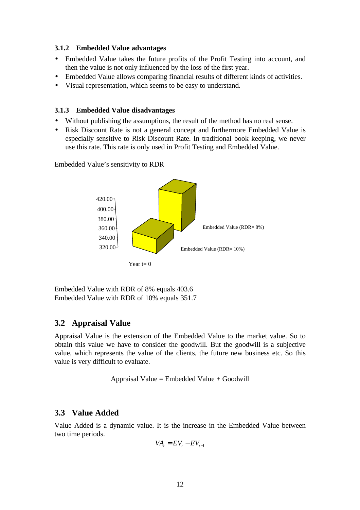#### **3.1.2 Embedded Value advantages**

- Embedded Value takes the future profits of the Profit Testing into account, and then the value is not only influenced by the loss of the first year.
- Embedded Value allows comparing financial results of different kinds of activities.
- Visual representation, which seems to be easy to understand.

#### **3.1.3 Embedded Value disadvantages**

- Without publishing the assumptions, the result of the method has no real sense.
- Risk Discount Rate is not a general concept and furthermore Embedded Value is especially sensitive to Risk Discount Rate. In traditional book keeping, we never use this rate. This rate is only used in Profit Testing and Embedded Value.

Embedded Value's sensitivity to RDR



Embedded Value with RDR of 8% equals 403.6 Embedded Value with RDR of 10% equals 351.7

## **3.2 Appraisal Value**

Appraisal Value is the extension of the Embedded Value to the market value. So to obtain this value we have to consider the goodwill. But the goodwill is a subjective value, which represents the value of the clients, the future new business etc. So this value is very difficult to evaluate.

Appraisal Value =  $Embedded$  Value + Goodwill

### **3.3 Value Added**

Value Added is a dynamic value. It is the increase in the Embedded Value between two time periods.

$$
VA_{t} = EV_{t} - EV_{t-1}
$$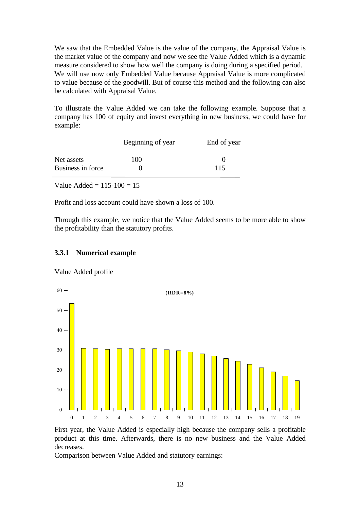We saw that the Embedded Value is the value of the company, the Appraisal Value is the market value of the company and now we see the Value Added which is a dynamic measure considered to show how well the company is doing during a specified period. We will use now only Embedded Value because Appraisal Value is more complicated to value because of the goodwill. But of course this method and the following can also be calculated with Appraisal Value.

To illustrate the Value Added we can take the following example. Suppose that a company has 100 of equity and invest everything in new business, we could have for example:

|                   | Beginning of year | End of year |
|-------------------|-------------------|-------------|
| Net assets        | 100               |             |
| Business in force |                   | 115         |

Value Added =  $115-100 = 15$ 

Profit and loss account could have shown a loss of 100.

Through this example, we notice that the Value Added seems to be more able to show the profitability than the statutory profits.

#### **3.3.1 Numerical example**

Value Added profile



First year, the Value Added is especially high because the company sells a profitable product at this time. Afterwards, there is no new business and the Value Added decreases.

Comparison between Value Added and statutory earnings: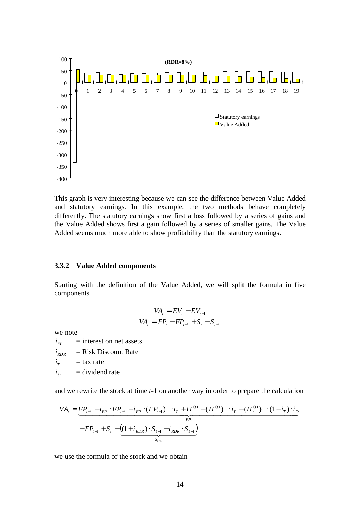

This graph is very interesting because we can see the difference between Value Added and statutory earnings. In this example, the two methods behave completely differently. The statutory earnings show first a loss followed by a series of gains and the Value Added shows first a gain followed by a series of smaller gains. The Value Added seems much more able to show profitability than the statutory earnings.

#### **3.3.2 Value Added components**

Starting with the definition of the Value Added, we will split the formula in five components

$$
VA_{t} = EV_{t} - EV_{t-1}
$$
  

$$
VA_{t} = FP_{t} - FP_{t-1} + S_{t} - S_{t-1}
$$

we note

 $i_{FP}$  = interest on net assets  $i_{RDR}$  = Risk Discount Rate  $i_r$  $=$  tax rate  $i_{D}$ *i* = dividend rate

and we rewrite the stock at time *t*-1 on another way in order to prepare the calculation

$$
VA_{t} = \underbrace{FP_{t-1} + i_{FP} \cdot FP_{t-1} - i_{FP} \cdot (FP_{t-1})^{+} \cdot i_{T} + H_{t}^{(t)} - (H_{t}^{(t)})^{+} \cdot i_{T} - (H_{t}^{(t)})^{+} \cdot (1 - i_{T}) \cdot i_{D}}_{FP_{t}}
$$
  
- 
$$
FP_{t-1} + S_{t} - \underbrace{((1 + i_{RDR}) \cdot S_{t-1} - i_{RDR} \cdot S_{t-1})}_{S_{t-1}}
$$

we use the formula of the stock and we obtain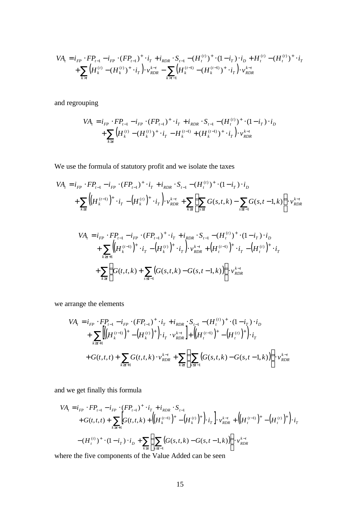$$
VA_{t} = i_{FP} \cdot FP_{t-1} - i_{FP} \cdot (FP_{t-1})^{+} \cdot i_{T} + i_{RDR} \cdot S_{t-1} - (H_{t}^{(t)})^{+} \cdot (1 - i_{T}) \cdot i_{D} + H_{t}^{(t)} - (H_{t}^{(t)})^{+} \cdot i_{T} + \sum_{k>t} \left( H_{k}^{(t)} - (H_{k}^{(t)})^{+} \cdot i_{T} \right) \cdot v_{RDR}^{k-t} - \sum_{k>t-1} \left( H_{k}^{(t-1)} - (H_{k}^{(t-1)})^{+} \cdot i_{T} \right) \cdot v_{RDR}^{k-t}
$$

and regrouping

$$
VA_{t} = i_{FP} \cdot FP_{t-1} - i_{FP} \cdot (FP_{t-1})^{+} \cdot i_{T} + i_{RDR} \cdot S_{t-1} - (H_{t}^{(t)})^{+} \cdot (1 - i_{T}) \cdot i_{D}
$$
  
+ 
$$
\sum_{k \ge t} \left( H_{k}^{(t)} - (H_{k}^{(t)})^{+} \cdot i_{T} - H_{k}^{(t-1)} + (H_{k}^{(t-1)})^{+} \cdot i_{T} \right) \cdot v_{RDR}^{k-t}
$$

We use the formula of statutory profit and we isolate the taxes

$$
VA_{t} = i_{FP} \cdot FP_{t-1} - i_{FP} \cdot (FP_{t-1})^{+} \cdot i_{T} + i_{RDR} \cdot S_{t-1} - (H_{t}^{(t)})^{+} \cdot (1 - i_{T}) \cdot i_{D}
$$
  
+ 
$$
\sum_{k \ge t} \left( \left( H_{k}^{(t-1)} \right)^{+} \cdot i_{T} - \left( H_{k}^{(t)} \right)^{+} \cdot i_{T} \right) \cdot v_{RDR}^{k-t} + \sum_{k \ge t} \left( \sum_{s \le t} G(s, t, k) - \sum_{s \le t-1} G(s, t - 1, k) \right) \cdot v_{RDR}^{k-t}
$$

$$
VA_{t} = i_{FP} \cdot FP_{t-1} - i_{FP} \cdot (FP_{t-1})^{+} \cdot i_{T} + i_{RDR} \cdot S_{t-1} - (H_{t}^{(t)})^{+} \cdot (1 - i_{T}) \cdot i_{D}
$$
  
+ 
$$
\sum_{k \ge t+1} \Biggl( \Bigl( H_{k}^{(t-1)} \Bigr)^{+} \cdot i_{T} - \Bigl( H_{k}^{(t)} \Bigr)^{+} \cdot i_{T} \Bigr) \cdot v_{RDR}^{k-t} + \Bigl( H_{t}^{(t-1)} \Bigr)^{+} \cdot i_{T} - \Bigl( H_{t}^{(t)} \Bigr)^{+} \cdot i_{T}
$$
  
+ 
$$
\sum_{k \ge t} \Biggl( G(t, t, k) + \sum_{s \le t-1} \Bigl( G(s, t, k) - G(s, t-1, k) \Bigr) \Biggr) \cdot v_{RDR}^{k-t}
$$

we arrange the elements

$$
VA_{t} = i_{FP} \cdot FP_{t-1} - i_{FP} \cdot (FP_{t-1})^{+} \cdot i_{T} + i_{RDR} \cdot S_{t-1} - (H_{t}^{(t)})^{+} \cdot (1 - i_{T}) \cdot i_{D}
$$
  
+ 
$$
\sum_{k \ge t+1} \left[ \left( H_{k}^{(t-1)} \right)^{+} - \left( H_{k}^{(t)} \right)^{+} \right) \cdot i_{T} \cdot v_{RDR}^{k-t} + \left( \left( H_{t}^{(t-1)} \right)^{+} - \left( H_{t}^{(t)} \right)^{+} \right) \cdot i_{T}
$$
  
+ 
$$
G(t, t, t) + \sum_{k \ge t+1} G(t, t, k) \cdot v_{RDR}^{k-t} + \sum_{k \ge t} \left( \sum_{s \le t-1} \left( G(s, t, k) - G(s, t-1, k) \right) \right) \cdot v_{RDR}^{k-t}
$$

and we get finally this formula

$$
VA_{t} = i_{FP} \cdot FP_{t-1} - i_{FP} \cdot (FP_{t-1})^{+} \cdot i_{T} + i_{RDR} \cdot S_{t-1}
$$
  
+
$$
G(t, t, t) + \sum_{k \ge t+1} \Big[ G(t, t, k) + \Big( \big(H_{k}^{(t-1)}\big)^{+} - \big(H_{k}^{(t)}\big)^{+} \Big) \cdot i_{T} \Big] \cdot v_{RDR}^{k-t} + \Big( \big(H_{t}^{(t-1)}\big)^{+} - \big(H_{t}^{(t)}\big)^{+} \Big) \cdot i_{T}
$$
  
-
$$
(H_{t}^{(t)})^{+} \cdot (1 - i_{T}) \cdot i_{D} + \sum_{k \ge t} \Big( \sum_{s \le t-1} \big( G(s, t, k) - G(s, t-1, k) \big) \Big) \cdot v_{RDR}^{k-t}
$$

where the five components of the Value Added can be seen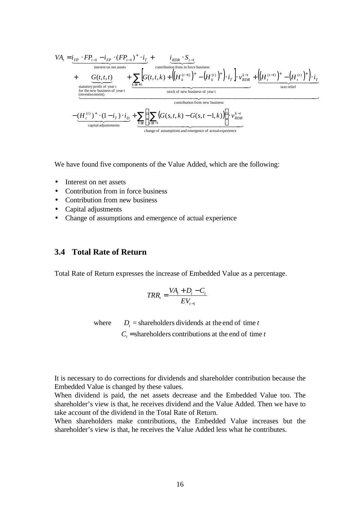$$
VA_{t} = i_{FP} \cdot FP_{t-1} - i_{FP} \cdot (FP_{t-1})^{+} \cdot i_{T} + i_{T} \cdot \frac{i_{RDR} \cdot S_{t-1}}{\text{contribution from in force business}}
$$
  
+ 
$$
G(t, t, t) + \left( \left( H_{k}^{(-1)} \right)^{+} - \left( H_{k}^{(t)} \right)^{+} \right) \cdot i_{T} \cdot \frac{1}{\sum_{RDR} t} \cdot \left( \left( H_{k}^{(-1)} \right)^{+} - \left( H_{k}^{(t)} \right)^{+} \right) \cdot i_{T} \cdot \frac{1}{\sum_{RDR} t} \cdot \frac{1}{\sum_{RDR} t} \cdot \frac{1}{\sum_{RDR} t} \cdot \frac{1}{\sum_{RDR} t} \cdot \frac{1}{\sum_{RDR} t} \cdot \frac{1}{\sum_{RDR} t} \cdot \frac{1}{\sum_{RDR} t} \cdot \frac{1}{\sum_{RDR} t} \cdot \frac{1}{\sum_{RDR} t} \cdot \frac{1}{\sum_{RDR} t} \cdot \frac{1}{\sum_{RDR} t} \cdot \frac{1}{\sum_{RDR} t} \cdot \frac{1}{\sum_{RDR} t} \cdot \frac{1}{\sum_{RDR} t} \cdot \frac{1}{\sum_{RDR} t} \cdot \frac{1}{\sum_{RDR} t} \cdot \frac{1}{\sum_{RDR} t} \cdot \frac{1}{\sum_{RDR} t} \cdot \frac{1}{\sum_{RDR} t} \cdot \frac{1}{\sum_{RDR} t} \cdot \frac{1}{\sum_{RDR} t} \cdot \frac{1}{\sum_{RDR} t} \cdot \frac{1}{\sum_{RDR} t} \cdot \frac{1}{\sum_{RDR} t} \cdot \frac{1}{\sum_{RDR} t} \cdot \frac{1}{\sum_{RDR} t} \cdot \frac{1}{\sum_{RDR} t} \cdot \frac{1}{\sum_{RDR} t} \cdot \frac{1}{\sum_{RDR} t} \cdot \frac{1}{\sum_{RDR} t} \cdot \frac{1}{\sum_{RDR} t} \cdot \frac{1}{\sum_{RDR} t} \cdot \frac{1}{\sum_{RDR} t} \cdot \frac{1}{\sum_{RDR} t} \cdot \frac{1}{\sum_{RDR} t} \cdot \frac{1}{\sum_{RDR} t} \cdot \frac{1}{\sum_{RDR} t} \cdot \
$$

We have found five components of the Value Added, which are the following:

- Interest on net assets
- Contribution from in force business
- Contribution from new business
- Capital adjustments
- Change of assumptions and emergence of actual experience

### **3.4 Total Rate of Return**

Total Rate of Return expresses the increase of Embedded Value as a percentage.

$$
TRR_t = \frac{VA_t + D_t - C_t}{EV_{t-1}}
$$

 $C_t$  = shareholders contributions at the end of time *t* where  $D_t$  = shareholders dividends at the end of time *t* 

It is necessary to do corrections for dividends and shareholder contribution because the Embedded Value is changed by these values.

When dividend is paid, the net assets decrease and the Embedded Value too. The shareholder's view is that, he receives dividend and the Value Added. Then we have to take account of the dividend in the Total Rate of Return.

When shareholders make contributions, the Embedded Value increases but the shareholder's view is that, he receives the Value Added less what he contributes.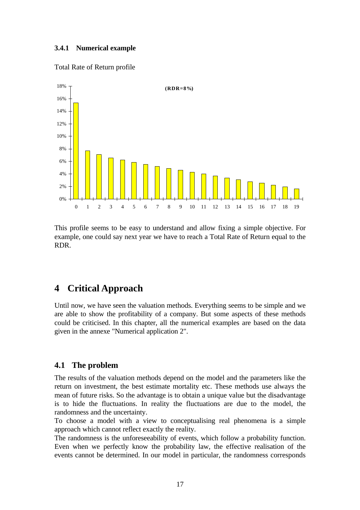### **3.4.1 Numerical example**

### Total Rate of Return profile



This profile seems to be easy to understand and allow fixing a simple objective. For example, one could say next year we have to reach a Total Rate of Return equal to the RDR.

# **4 Critical Approach**

Until now, we have seen the valuation methods. Everything seems to be simple and we are able to show the profitability of a company. But some aspects of these methods could be criticised. In this chapter, all the numerical examples are based on the data given in the annexe "Numerical application 2".

## **4.1 The problem**

The results of the valuation methods depend on the model and the parameters like the return on investment, the best estimate mortality etc. These methods use always the mean of future risks. So the advantage is to obtain a unique value but the disadvantage is to hide the fluctuations. In reality the fluctuations are due to the model, the randomness and the uncertainty.

To choose a model with a view to conceptualising real phenomena is a simple approach which cannot reflect exactly the reality.

The randomness is the unforeseeability of events, which follow a probability function. Even when we perfectly know the probability law, the effective realisation of the events cannot be determined. In our model in particular, the randomness corresponds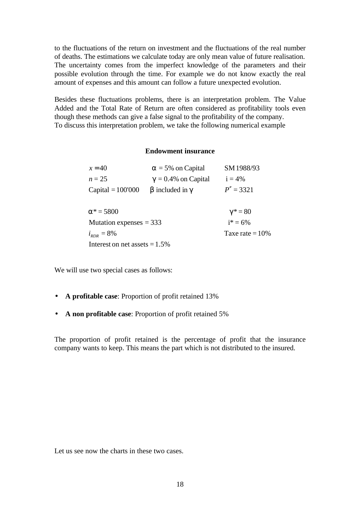to the fluctuations of the return on investment and the fluctuations of the real number of deaths. The estimations we calculate today are only mean value of future realisation. The uncertainty comes from the imperfect knowledge of the parameters and their possible evolution through the time. For example we do not know exactly the real amount of expenses and this amount can follow a future unexpected evolution.

Besides these fluctuations problems, there is an interpretation problem. The Value Added and the Total Rate of Return are often considered as profitability tools even though these methods can give a false signal to the profitability of the company. To discuss this interpretation problem, we take the following numerical example

#### **Endowment insurance**

| $x = 40$                         | $a = 5\%$ on Capital   | SM 1988/93   |  |  |  |
|----------------------------------|------------------------|--------------|--|--|--|
| $n = 25$                         | $g = 0.4\%$ on Capital | $i = 4\%$    |  |  |  |
| Capital $= 100'000$              | $b$ included in $g$    | $P'' = 3321$ |  |  |  |
|                                  |                        |              |  |  |  |
| $a^* = 5800$<br>$g^* = 80$       |                        |              |  |  |  |
| Mutation expenses $=$ 333        | $i^* = 6\%$            |              |  |  |  |
| $i_{RDR} = 8\%$                  | Taxe rate = $10\%$     |              |  |  |  |
| Interest on net assets $= 1.5\%$ |                        |              |  |  |  |

We will use two special cases as follows:

- **A profitable case**: Proportion of profit retained 13%
- **A non profitable case**: Proportion of profit retained 5%

The proportion of profit retained is the percentage of profit that the insurance company wants to keep. This means the part which is not distributed to the insured.

Let us see now the charts in these two cases.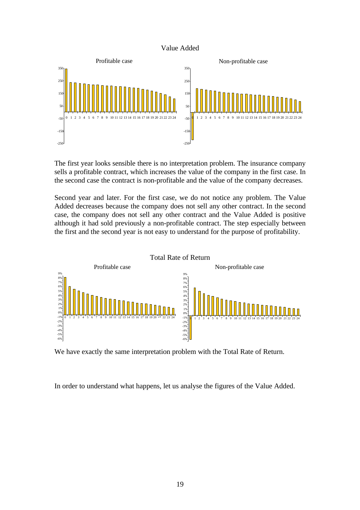#### Value Added



The first year looks sensible there is no interpretation problem. The insurance company sells a profitable contract, which increases the value of the company in the first case. In the second case the contract is non-profitable and the value of the company decreases.

Second year and later. For the first case, we do not notice any problem. The Value Added decreases because the company does not sell any other contract. In the second case, the company does not sell any other contract and the Value Added is positive although it had sold previously a non-profitable contract. The step especially between the first and the second year is not easy to understand for the purpose of profitability.



We have exactly the same interpretation problem with the Total Rate of Return.

In order to understand what happens, let us analyse the figures of the Value Added.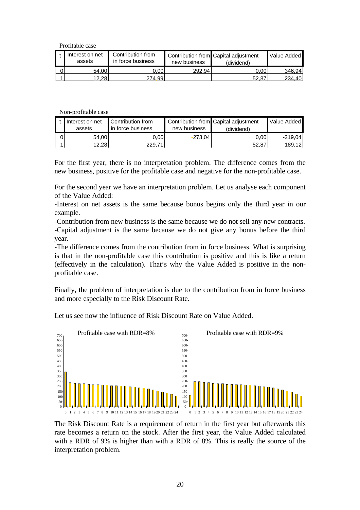Profitable case

| Interest on net<br>assets | Contribution from<br>in force business | new business | Contribution from Capital adjustment<br>(dividend) | Value Added |
|---------------------------|----------------------------------------|--------------|----------------------------------------------------|-------------|
| 54.00                     | ).00                                   | 292.94       | $0.00^+$                                           | 346.94      |
| 12.28                     | 274.99                                 |              | 52.87                                              | 234.40      |

Non-profitable case

| t Interest on net<br>assets | Contribution from<br>in force business | new business | Contribution from Capital adjustment<br>(dividend) | Value Added |
|-----------------------------|----------------------------------------|--------------|----------------------------------------------------|-------------|
| 54.00                       | 0.00                                   | 273.041      | ა.იი                                               | -219.04     |
| 12.28                       | <b>229.71</b>                          |              | 52.87                                              | 189.12      |

For the first year, there is no interpretation problem. The difference comes from the new business, positive for the profitable case and negative for the non-profitable case.

For the second year we have an interpretation problem. Let us analyse each component of the Value Added:

-Interest on net assets is the same because bonus begins only the third year in our example.

-Contribution from new business is the same because we do not sell any new contracts. -Capital adjustment is the same because we do not give any bonus before the third year.

-The difference comes from the contribution from in force business. What is surprising is that in the non-profitable case this contribution is positive and this is like a return (effectively in the calculation). That's why the Value Added is positive in the nonprofitable case.

Finally, the problem of interpretation is due to the contribution from in force business and more especially to the Risk Discount Rate.

0 50 100 150 200 250 300 350 400 450 500 550 600 650 700 10 11 12 13 14 15 16 17 18 19 20 21 22 23 24 0 50 100 150 200 250 300 350 400 450 500 550 600 650 700 0 1 2 3 4 5 6 7 8 9 10 11 12 13 14 15 16 17 18 19 20 21 22 23 24 Profitable case with RDR=8% Profitable case with RDR=9%

Let us see now the influence of Risk Discount Rate on Value Added.

The Risk Discount Rate is a requirement of return in the first year but afterwards this rate becomes a return on the stock. After the first year, the Value Added calculated with a RDR of 9% is higher than with a RDR of 8%. This is really the source of the interpretation problem.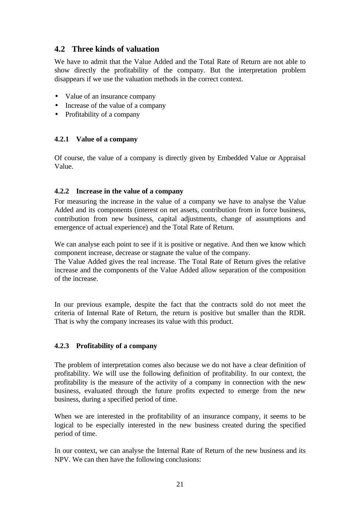# **4.2 Three kinds of valuation**

We have to admit that the Value Added and the Total Rate of Return are not able to show directly the profitability of the company. But the interpretation problem disappears if we use the valuation methods in the correct context.

- Value of an insurance company
- Increase of the value of a company
- Profitability of a company

### **4.2.1 Value of a company**

Of course, the value of a company is directly given by Embedded Value or Appraisal Value.

### **4.2.2 Increase in the value of a company**

For measuring the increase in the value of a company we have to analyse the Value Added and its components (interest on net assets, contribution from in force business, contribution from new business, capital adjustments, change of assumptions and emergence of actual experience) and the Total Rate of Return.

We can analyse each point to see if it is positive or negative. And then we know which component increase, decrease or stagnate the value of the company.

The Value Added gives the real increase. The Total Rate of Return gives the relative increase and the components of the Value Added allow separation of the composition of the increase.

In our previous example, despite the fact that the contracts sold do not meet the criteria of Internal Rate of Return, the return is positive but smaller than the RDR. That is why the company increases its value with this product.

### **4.2.3 Profitability of a company**

The problem of interpretation comes also because we do not have a clear definition of profitability. We will use the following definition of profitability. In our context, the profitability is the measure of the activity of a company in connection with the new business, evaluated through the future profits expected to emerge from the new business, during a specified period of time.

When we are interested in the profitability of an insurance company, it seems to be logical to be especially interested in the new business created during the specified period of time.

In our context, we can analyse the Internal Rate of Return of the new business and its NPV. We can then have the following conclusions: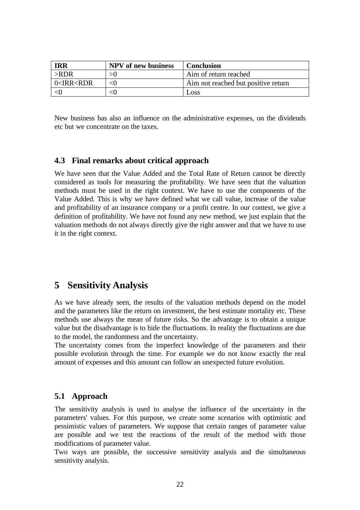| <b>IRR</b>                                                                            | <b>NPV</b> of new business | <b>Conclusion</b>                   |
|---------------------------------------------------------------------------------------|----------------------------|-------------------------------------|
| $>$ RDR                                                                               |                            | Aim of return reached               |
| $\sim$ IRR <rdr< td=""><td>๔∩</td><td>Aim not reached but positive return</td></rdr<> | ๔∩                         | Aim not reached but positive return |
|                                                                                       |                            | LOSS                                |

New business has also an influence on the administrative expenses, on the dividends etc but we concentrate on the taxes.

### **4.3 Final remarks about critical approach**

We have seen that the Value Added and the Total Rate of Return cannot be directly considered as tools for measuring the profitability. We have seen that the valuation methods must be used in the right context. We have to use the components of the Value Added. This is why we have defined what we call value, increase of the value and profitability of an insurance company or a profit centre. In our context, we give a definition of profitability. We have not found any new method, we just explain that the valuation methods do not always directly give the right answer and that we have to use it in the right context.

# **5 Sensitivity Analysis**

As we have already seen, the results of the valuation methods depend on the model and the parameters like the return on investment, the best estimate mortality etc. These methods use always the mean of future risks. So the advantage is to obtain a unique value but the disadvantage is to hide the fluctuations. In reality the fluctuations are due to the model, the randomness and the uncertainty.

The uncertainty comes from the imperfect knowledge of the parameters and their possible evolution through the time. For example we do not know exactly the real amount of expenses and this amount can follow an unexpected future evolution.

## **5.1 Approach**

The sensitivity analysis is used to analyse the influence of the uncertainty in the parameters' values. For this purpose, we create some scenarios with optimistic and pessimistic values of parameters. We suppose that certain ranges of parameter value are possible and we test the reactions of the result of the method with those modifications of parameter value.

Two ways are possible, the successive sensitivity analysis and the simultaneous sensitivity analysis.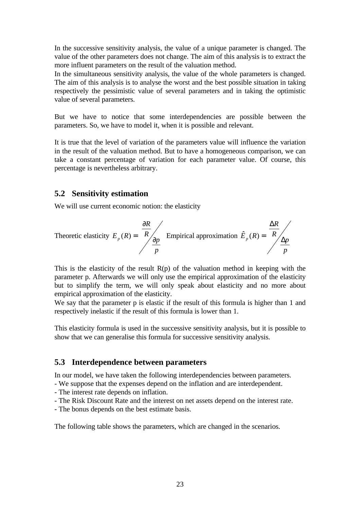In the successive sensitivity analysis, the value of a unique parameter is changed. The value of the other parameters does not change. The aim of this analysis is to extract the more influent parameters on the result of the valuation method.

In the simultaneous sensitivity analysis, the value of the whole parameters is changed. The aim of this analysis is to analyse the worst and the best possible situation in taking respectively the pessimistic value of several parameters and in taking the optimistic value of several parameters.

But we have to notice that some interdependencies are possible between the parameters. So, we have to model it, when it is possible and relevant.

It is true that the level of variation of the parameters value will influence the variation in the result of the valuation method. But to have a homogeneous comparison, we can take a constant percentage of variation for each parameter value. Of course, this percentage is nevertheless arbitrary.

### **5.2 Sensitivity estimation**

We will use current economic notion: the elasticity

Theoretic elasticity 
$$
E_p(R) = \frac{\frac{\partial R}{\partial p}}{\frac{\partial p}{p}}
$$
 Empirical approximation  $\hat{E}_p(R) = \frac{\frac{\Delta R}{\Delta p}}{\frac{\Delta p}{p}}$ 

This is the elasticity of the result  $R(p)$  of the valuation method in keeping with the parameter p. Afterwards we will only use the empirical approximation of the elasticity but to simplify the term, we will only speak about elasticity and no more about empirical approximation of the elasticity.

We say that the parameter p is elastic if the result of this formula is higher than 1 and respectively inelastic if the result of this formula is lower than 1.

This elasticity formula is used in the successive sensitivity analysis, but it is possible to show that we can generalise this formula for successive sensitivity analysis.

### **5.3 Interdependence between parameters**

In our model, we have taken the following interdependencies between parameters.

- We suppose that the expenses depend on the inflation and are interdependent.
- The interest rate depends on inflation.
- The Risk Discount Rate and the interest on net assets depend on the interest rate.
- The bonus depends on the best estimate basis.

The following table shows the parameters, which are changed in the scenarios.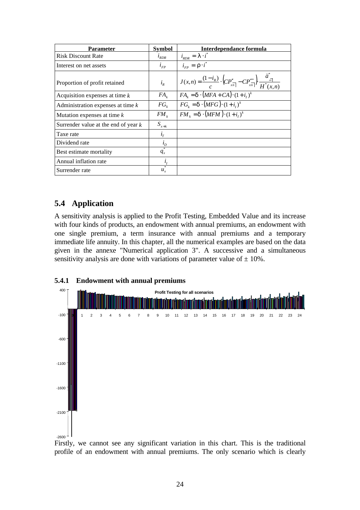| Parameter                              | <b>Symbol</b>  | Interdependance formula                                                                                                                            |
|----------------------------------------|----------------|----------------------------------------------------------------------------------------------------------------------------------------------------|
| <b>Risk Discount Rate</b>              | $l_{RDR}$      | $i_{RDR} = \mathbf{I} \cdot i^*$                                                                                                                   |
| Interest on net assets                 | $l_{FP}$       | $i_{\scriptscriptstyle FP} = \mathbf{r} \cdot i^*$                                                                                                 |
| Proportion of profit retained          | $i_R$          | $J(x,n) = \frac{(1-i_R)}{c} \cdot \left( CP''_{\overline{x_n}} - CP'''_{\overline{x_n}} \right) \cdot \frac{\dddot{a}_{\overline{x_n}}}{H^*(x,n)}$ |
| Acquisition expenses at time $k$       | $FA_{\nu}$     | $FA_{k} = d \cdot (MFA + CA) \cdot (1 + i_{k})^{k}$                                                                                                |
| Administration expenses at time $k$    | $FG_{\iota}$   | $FG_{k} = d \cdot (MFG) \cdot (1+i_{i})^{k}$                                                                                                       |
| Mutation expenses at time $k$          | $FM_k$         | $FM_{k} = d \cdot (MFM) \cdot (1+i_{i})^{k}$                                                                                                       |
| Surrender value at the end of year $k$ | $S_{x+k}$      |                                                                                                                                                    |
| Taxe rate                              | $l_T$          |                                                                                                                                                    |
| Dividend rate                          | $i_{D}$        |                                                                                                                                                    |
| Best estimate mortality                | $*$<br>$q_{x}$ |                                                                                                                                                    |
| Annual inflation rate                  | i <sub>I</sub> |                                                                                                                                                    |
| Surrender rate                         | $u_{r}$        |                                                                                                                                                    |

# **5.4 Application**

**5.4.1 Endowment with annual premiums**

A sensitivity analysis is applied to the Profit Testing, Embedded Value and its increase with four kinds of products, an endowment with annual premiums, an endowment with one single premium, a term insurance with annual premiums and a temporary immediate life annuity. In this chapter, all the numerical examples are based on the data given in the annexe "Numerical application 3". A successive and a simultaneous sensitivity analysis are done with variations of parameter value of  $\pm$  10%.



Firstly, we cannot see any significant variation in this chart. This is the traditional profile of an endowment with annual premiums. The only scenario which is clearly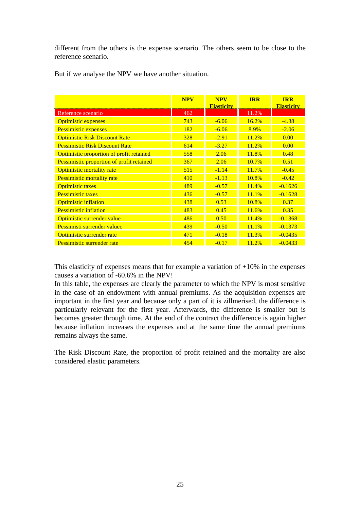different from the others is the expense scenario. The others seem to be close to the reference scenario.

|                                                  | <b>NPV</b> | <b>NPV</b>        | <b>IRR</b> | <b>IRR</b>        |
|--------------------------------------------------|------------|-------------------|------------|-------------------|
|                                                  |            | <b>Elasticity</b> |            | <b>Elasticity</b> |
| Reference scenario                               | 462        |                   | 11.2%      |                   |
| <b>Optimistic expenses</b>                       | 743        | $-6.06$           | 16.2%      | $-4.38$           |
| <b>Pessimistic expenses</b>                      | 182        | $-6.06$           | 8.9%       | $-2.06$           |
| <b>Optimistic Risk Discount Rate</b>             | 328        | $-2.91$           | 11.2%      | 0.00              |
| <b>Pessimistic Risk Discount Rate</b>            | 614        | $-3.27$           | 11.2%      | 0.00              |
| Optimistic proportion of profit retained         | 558        | 2.06              | 11.8%      | 0.48              |
| <b>Pessimistic proportion of profit retained</b> | 367        | 2.06              | 10.7%      | 0.51              |
| Optimistic mortality rate                        | 515        | $-1.14$           | 11.7%      | $-0.45$           |
| <b>Pessimistic mortality rate</b>                | 410        | $-1.13$           | 10.8%      | $-0.42$           |
| <b>Optimistic taxes</b>                          | 489        | $-0.57$           | 11.4%      | $-0.1626$         |
| <b>Pessimistic taxes</b>                         | 436        | $-0.57$           | 11.1%      | $-0.1628$         |
| <b>Optimistic inflation</b>                      | 438        | 0.53              | 10.8%      | 0.37              |
| <b>Pessimistic inflation</b>                     | 483        | 0.45              | 11.6%      | 0.35              |
| Optimistic surrender value                       | 486        | 0.50              | 11.4%      | $-0.1368$         |
| Pessimisti surrender valuec                      | 439        | $-0.50$           | 11.1%      | $-0.1373$         |
| Optimistic surrender rate                        | 471        | $-0.18$           | 11.3%      | $-0.0435$         |
| Pessimistic surrender rate                       | 454        | $-0.17$           | 11.2%      | $-0.0433$         |

But if we analyse the NPV we have another situation.

This elasticity of expenses means that for example a variation of  $+10\%$  in the expenses causes a variation of -60.6% in the NPV!

In this table, the expenses are clearly the parameter to which the NPV is most sensitive in the case of an endowment with annual premiums. As the acquisition expenses are important in the first year and because only a part of it is zillmerised, the difference is particularly relevant for the first year. Afterwards, the difference is smaller but is becomes greater through time. At the end of the contract the difference is again higher because inflation increases the expenses and at the same time the annual premiums remains always the same.

The Risk Discount Rate, the proportion of profit retained and the mortality are also considered elastic parameters.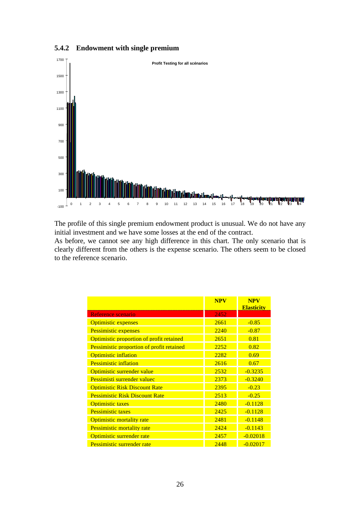

### **5.4.2 Endowment with single premium**

The profile of this single premium endowment product is unusual. We do not have any initial investment and we have some losses at the end of the contract.

As before, we cannot see any high difference in this chart. The only scenario that is clearly different from the others is the expense scenario. The others seem to be closed to the reference scenario.

|                                                 | <b>NPV</b> | <b>NPV</b><br><b>Elasticity</b> |
|-------------------------------------------------|------------|---------------------------------|
| Reference scenario                              | 2452       |                                 |
| <b>Optimistic expenses</b>                      | 2661       | $-0.85$                         |
| <b>Pessimistic expenses</b>                     | 2240       | $-0.87$                         |
| <b>Optimistic proportion of profit retained</b> | 2651       | 0.81                            |
| Pessimistic proportion of profit retained       | 2252       | 0.82                            |
| <b>Optimistic inflation</b>                     | 2282       | 0.69                            |
| <b>Pessimistic inflation</b>                    | 2616       | 0.67                            |
| Optimistic surrender value                      | 2532       | $-0.3235$                       |
| Pessimisti surrender valuec                     | 2373       | $-0.3240$                       |
| <b>Optimistic Risk Discount Rate</b>            | 2395       | $-0.23$                         |
| <b>Pessimistic Risk Discount Rate</b>           | 2513       | $-0.25$                         |
| <b>Optimistic taxes</b>                         | 2480       | $-0.1128$                       |
| <b>Pessimistic taxes</b>                        | 2425       | $-0.1128$                       |
| Optimistic mortality rate                       | 2481       | $-0.1148$                       |
| Pessimistic mortality rate                      | 2424       | $-0.1143$                       |
| Optimistic surrender rate                       | 2457       | $-0.02018$                      |
| Pessimistic surrender rate                      | 2448       | $-0.02017$                      |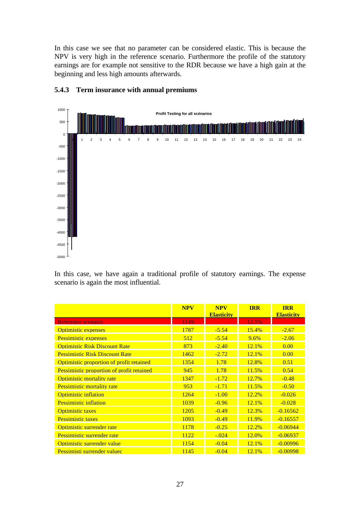In this case we see that no parameter can be considered elastic. This is because the NPV is very high in the reference scenario. Furthermore the profile of the statutory earnings are for example not sensitive to the RDR because we have a high gain at the beginning and less high amounts afterwards.



### **5.4.3 Term insurance with annual premiums**

In this case, we have again a traditional profile of statutory earnings. The expense scenario is again the most influential.

|                                                  | <b>NPV</b> | <b>NPV</b><br><b>Elasticity</b> | <b>TRR</b> | <b>IRR</b><br><b>Elasticity</b> |
|--------------------------------------------------|------------|---------------------------------|------------|---------------------------------|
| Reference scenario                               | 1149       |                                 | 12.1%      |                                 |
| Optimistic expenses                              | 1787       | $-5.54$                         | 15.4%      | $-2.67$                         |
| <b>Pessimistic expenses</b>                      | 512        | $-5.54$                         | 9.6%       | $-2.06$                         |
| <b>Optimistic Risk Discount Rate</b>             | 873        | $-2.40$                         | 12.1%      | 0.00                            |
| <b>Pessimistic Risk Discount Rate</b>            | 1462       | $-2.72$                         | 12.1%      | 0.00                            |
| Optimistic proportion of profit retained         | 1354       | 1.78                            | 12.8%      | 0.51                            |
| <b>Pessimistic proportion of profit retained</b> | 945        | 1.78                            | 11.5%      | 0.54                            |
| <b>Optimistic mortality rate</b>                 | 1347       | $-1.72$                         | 12.7%      | $-0.48$                         |
| <b>Pessimistic mortality rate</b>                | 953        | $-1.71$                         | 11.5%      | $-0.50$                         |
| <b>Optimistic inflation</b>                      | 1264       | $-1.00$                         | 12.2%      | $-0.026$                        |
| <b>Pessimistic inflation</b>                     | 1039       | $-0.96$                         | 12.1%      | $-0.028$                        |
| <b>Optimistic taxes</b>                          | 1205       | $-0.49$                         | 12.3%      | $-0.16562$                      |
| <b>Pessimistic taxes</b>                         | 1093       | $-0.49$                         | 11.9%      | $-0.16557$                      |
| Optimistic surrender rate                        | 1178       | $-0.25$                         | 12.2%      | $-0.06944$                      |
| Pessimistic surrender rate                       | 1122       | $-.024$                         | 12.0%      | $-0.06937$                      |
| Optimistic surrender value                       | 1154       | $-0.04$                         | 12.1%      | $-0.00996$                      |
| Pessimisti surrender valuec                      | 1145       | $-0.04$                         | 12.1%      | $-0.00998$                      |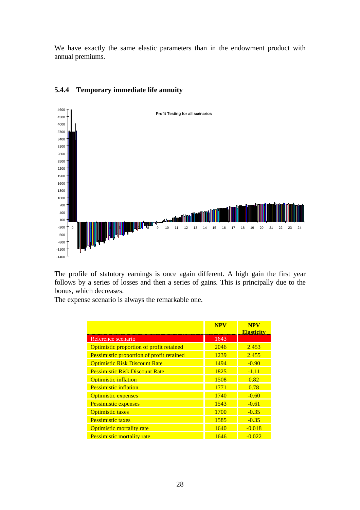We have exactly the same elastic parameters than in the endowment product with annual premiums.



### **5.4.4 Temporary immediate life annuity**

The profile of statutory earnings is once again different. A high gain the first year follows by a series of losses and then a series of gains. This is principally due to the bonus, which decreases.

The expense scenario is always the remarkable one.

|                                           | <b>NPV</b> | <b>NPV</b><br><b>Elasticity</b> |
|-------------------------------------------|------------|---------------------------------|
| Reference scenario                        | 1643       |                                 |
| Optimistic proportion of profit retained  | 2046       | 2.453                           |
| Pessimistic proportion of profit retained | 1239       | 2.455                           |
| <b>Optimistic Risk Discount Rate</b>      | 1494       | $-0.90$                         |
| <b>Pessimistic Risk Discount Rate</b>     | 1825       | $-1.11$                         |
| <b>Optimistic inflation</b>               | 1508       | 0.82                            |
| <b>Pessimistic inflation</b>              | 1771       | 0.78                            |
| <b>Optimistic expenses</b>                | 1740       | $-0.60$                         |
| <b>Pessimistic expenses</b>               | 1543       | $-0.61$                         |
| <b>Optimistic taxes</b>                   | 1700       | $-0.35$                         |
| <b>Pessimistic taxes</b>                  | 1585       | $-0.35$                         |
| Optimistic mortality rate                 | 1640       | $-0.018$                        |
| Pessimistic mortality rate                | 1646       | $-0.022$                        |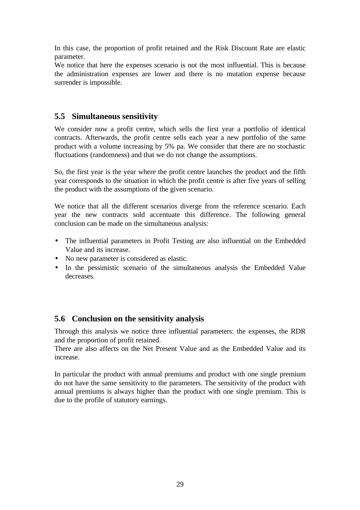In this case, the proportion of profit retained and the Risk Discount Rate are elastic parameter.

We notice that here the expenses scenario is not the most influential. This is because the administration expenses are lower and there is no mutation expense because surrender is impossible.

# **5.5 Simultaneous sensitivity**

We consider now a profit centre, which sells the first year a portfolio of identical contracts. Afterwards, the profit centre sells each year a new portfolio of the same product with a volume increasing by 5% pa. We consider that there are no stochastic fluctuations (randomness) and that we do not change the assumptions.

So, the first year is the year where the profit centre launches the product and the fifth year corresponds to the situation in which the profit centre is after five years of selling the product with the assumptions of the given scenario.

We notice that all the different scenarios diverge from the reference scenario. Each year the new contracts sold accentuate this difference. The following general conclusion can be made on the simultaneous analysis:

- The influential parameters in Profit Testing are also influential on the Embedded Value and its increase.
- No new parameter is considered as elastic.
- In the pessimistic scenario of the simultaneous analysis the Embedded Value decreases.

## **5.6 Conclusion on the sensitivity analysis**

Through this analysis we notice three influential parameters: the expenses, the RDR and the proportion of profit retained.

There are also affects on the Net Present Value and as the Embedded Value and its increase.

In particular the product with annual premiums and product with one single premium do not have the same sensitivity to the parameters. The sensitivity of the product with annual premiums is always higher than the product with one single premium. This is due to the profile of statutory earnings.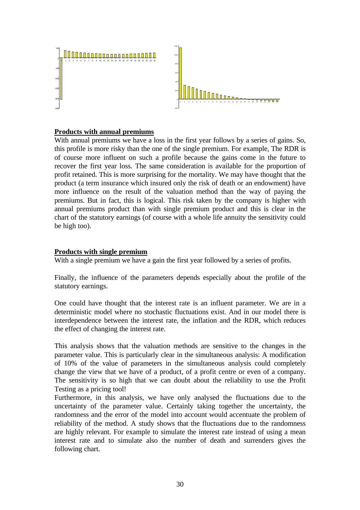

### **Products with annual premiums**

With annual premiums we have a loss in the first year follows by a series of gains. So, this profile is more risky than the one of the single premium. For example, The RDR is of course more influent on such a profile because the gains come in the future to recover the first year loss. The same consideration is available for the proportion of profit retained. This is more surprising for the mortality. We may have thought that the product (a term insurance which insured only the risk of death or an endowment) have more influence on the result of the valuation method than the way of paying the premiums. But in fact, this is logical. This risk taken by the company is higher with annual premiums product than with single premium product and this is clear in the chart of the statutory earnings (of course with a whole life annuity the sensitivity could be high too).

#### **Products with single premium**

With a single premium we have a gain the first year followed by a series of profits.

Finally, the influence of the parameters depends especially about the profile of the statutory earnings.

One could have thought that the interest rate is an influent parameter. We are in a deterministic model where no stochastic fluctuations exist. And in our model there is interdependence between the interest rate, the inflation and the RDR, which reduces the effect of changing the interest rate.

This analysis shows that the valuation methods are sensitive to the changes in the parameter value. This is particularly clear in the simultaneous analysis: A modification of 10% of the value of parameters in the simultaneous analysis could completely change the view that we have of a product, of a profit centre or even of a company. The sensitivity is so high that we can doubt about the reliability to use the Profit Testing as a pricing tool!

Furthermore, in this analysis, we have only analysed the fluctuations due to the uncertainty of the parameter value. Certainly taking together the uncertainty, the randomness and the error of the model into account would accentuate the problem of reliability of the method. A study shows that the fluctuations due to the randomness are highly relevant. For example to simulate the interest rate instead of using a mean interest rate and to simulate also the number of death and surrenders gives the following chart.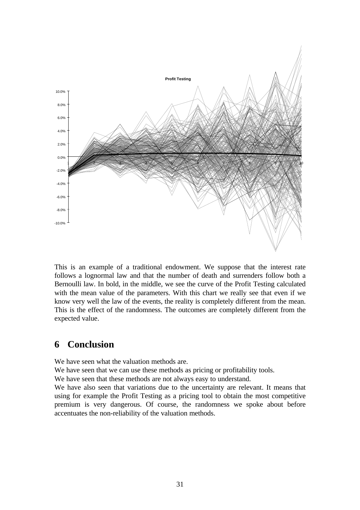

This is an example of a traditional endowment. We suppose that the interest rate follows a lognormal law and that the number of death and surrenders follow both a Bernoulli law. In bold, in the middle, we see the curve of the Profit Testing calculated with the mean value of the parameters. With this chart we really see that even if we know very well the law of the events, the reality is completely different from the mean. This is the effect of the randomness. The outcomes are completely different from the expected value.

# **6 Conclusion**

We have seen what the valuation methods are.

We have seen that we can use these methods as pricing or profitability tools.

We have seen that these methods are not always easy to understand.

We have also seen that variations due to the uncertainty are relevant. It means that using for example the Profit Testing as a pricing tool to obtain the most competitive premium is very dangerous. Of course, the randomness we spoke about before accentuates the non-reliability of the valuation methods.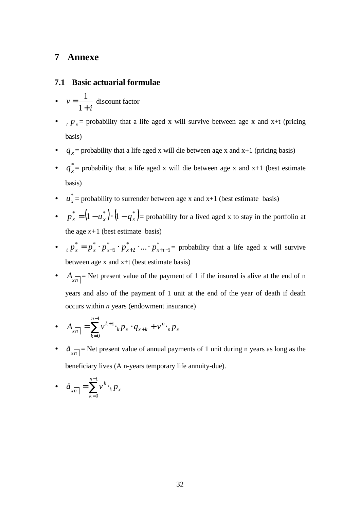# **7 Annexe**

### **7.1 Basic actuarial formulae**

- *i v* + = 1 1 discount factor
- $t P_x$  = probability that a life aged x will survive between age x and x+t (pricing basis)
- $q_x$  = probability that a life aged x will die between age x and x+1 (pricing basis)
- $\bullet$   $q_x^*$  $q_{x}^{*}$  = probability that a life aged x will die between age x and x+1 (best estimate basis)
- $\bullet$   $u^*$  $u_x^*$  = probability to surrender between age x and x+1 (best estimate basis)
- $p_x^* = (1 u_x^*) \cdot (1 q_x^*)$  probability for a lived aged x to stay in the portfolio at the age  $x+1$  (best estimate basis)
- $p_r^* = p_r^* \cdot p_{r+1}^* \cdot p_{r+2}^* \cdot ... \cdot p_r^*$ 1 \* 2 \* 1  $p_x^* = p_x^* \cdot p_{x+1}^* \cdot p_{x+2}^* \cdot \ldots \cdot p_{x+t-1}^*$  probability that a life aged x will survive between age x and x+t (best estimate basis)
- $A_{\overline{sn}}$  = Net present value of the payment of 1 if the insured is alive at the end of n years and also of the payment of 1 unit at the end of the year of death if death occurs within *n* years (endowment insurance)

• 
$$
A_{x\overline{n}|} = \sum_{k=0}^{n-1} v^{k+1} \cdot_k p_x \cdot q_{x+k} + v^n \cdot_n p_x
$$

•  $\ddot{a}_{x\overline{n}}$  = Net present value of annual payments of 1 unit during n years as long as the beneficiary lives (A n-years temporary life annuity-due).

$$
\bullet \quad \ddot{a}_{x\overline{n}|} = \sum_{k=0}^{n-1} v^k \cdot_k p_x
$$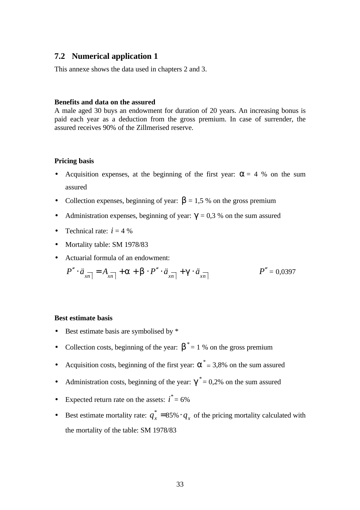### **7.2 Numerical application 1**

This annexe shows the data used in chapters 2 and 3.

#### **Benefits and data on the assured**

A male aged 30 buys an endowment for duration of 20 years. An increasing bonus is paid each year as a deduction from the gross premium. In case of surrender, the assured receives 90% of the Zillmerised reserve.

#### **Pricing basis**

- Acquisition expenses, at the beginning of the first year:  $a = 4$  % on the sum assured
- Collection expenses, beginning of year:  $\mathbf{b} = 1.5$  % on the gross premium
- Administration expenses, beginning of year:  $g = 0.3$  % on the sum assured
- Technical rate:  $i = 4\%$
- Mortality table: SM 1978/83
- Actuarial formula of an endowment:

$$
P'' \cdot \ddot{a}_{xn} = A_{xn} + \mathbf{a} + \mathbf{b} \cdot P'' \cdot \ddot{a}_{xn} + \mathbf{g} \cdot \ddot{a}_{xn}
$$
\n
$$
P'' = 0.0397
$$

### **Best estimate basis**

- Best estimate basis are symbolised by  $*$
- Collection costs, beginning of the year:  $\boldsymbol{b}^* = 1$  % on the gross premium
- Acquisition costs, beginning of the first year:  $\mathbf{a}^* = 3,8\%$  on the sum assured
- Administration costs, beginning of the year:  $g^* = 0.2\%$  on the sum assured
- Expected return rate on the assets:  $i^* = 6\%$
- Best estimate mortality rate:  $q_x^* =$  $q_x^* = 85\% \cdot q_x$  of the pricing mortality calculated with the mortality of the table: SM 1978/83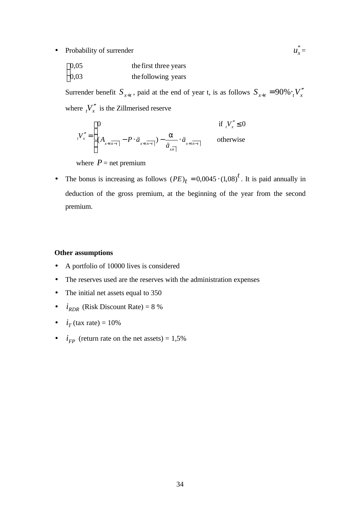• Probability of surrender

| $\left[0,05\right]$ | the first three years |  |  |
|---------------------|-----------------------|--|--|
| $\big]0.03$         | the following years   |  |  |

Surrender benefit  $S_{x+t}$ , paid at the end of year t, is as follows  $S_{x+t} = 90\% \cdot {}_{t}V''_{x}$ where  $\binom{V''}{x}$  is the Zillmerised reserve

 $\frac{\ast}{r}$ 

$$
V''_{x} = \begin{cases} 0 & \text{if } V''_{x} \le 0 \\ (A_{x+t\overline{n-t}} - P \cdot \ddot{a}_{x+t\overline{n-t}}) - \frac{a}{\ddot{a}_{x\overline{n}}} \cdot \ddot{a}_{x+t\overline{n-t}} & \text{otherwise} \end{cases}
$$

where  $P =$  net premium

• The bonus is increasing as follows  $(PE)_t = 0.0045 \cdot (1.08)^t$ . It is paid annually in deduction of the gross premium, at the beginning of the year from the second premium.

#### **Other assumptions**

- A portfolio of 10000 lives is considered
- The reserves used are the reserves with the administration expenses
- The initial net assets equal to 350
- $i_{RDR}$  (Risk Discount Rate) = 8 %
- $i_T$  (tax rate) = 10%
- $i_{FP}$  (return rate on the net assets) = 1,5%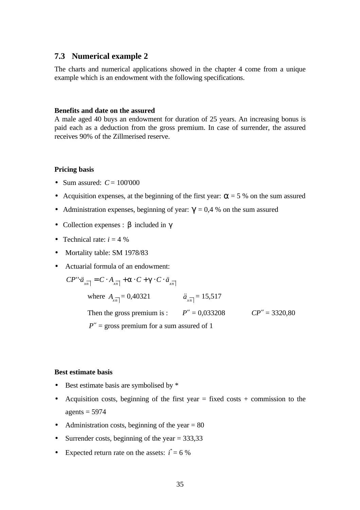### **7.3 Numerical example 2**

The charts and numerical applications showed in the chapter 4 come from a unique example which is an endowment with the following specifications.

#### **Benefits and date on the assured**

A male aged 40 buys an endowment for duration of 25 years. An increasing bonus is paid each as a deduction from the gross premium. In case of surrender, the assured receives 90% of the Zillmerised reserve.

#### **Pricing basis**

- Sum assured:  $C = 100'000$
- Acquisition expenses, at the beginning of the first year:  $a = 5\%$  on the sum assured
- Administration expenses, beginning of year:  $g = 0.4$  % on the sum assured
- Collection expenses : *b* included in *g*
- Technical rate:  $i = 4$  %
- Mortality table: SM 1978/83
- Actuarial formula of an endowment:

 $CP'' \cdot \ddot{a}_{\overline{x}} = C \cdot A_{\overline{x}} + a \cdot C + g \cdot C \cdot \ddot{a}_{\overline{x}}$ 

| where $A_{\overline{sn}} = 0,40321$ | $\ddot{a}_{\text{xn}} = 15,517$ |                  |
|-------------------------------------|---------------------------------|------------------|
| Then the gross premium is :         | $P'' = 0.033208$                | $CP'' = 3320,80$ |

 $P'' =$  gross premium for a sum assured of 1

#### **Best estimate basis**

- Best estimate basis are symbolised by  $*$
- Acquisition costs, beginning of the first year  $=$  fixed costs  $+$  commission to the  $agents = 5974$
- Administration costs, beginning of the year  $= 80$
- Surrender costs, beginning of the year  $= 333,33$
- Expected return rate on the assets:  $i^* = 6\%$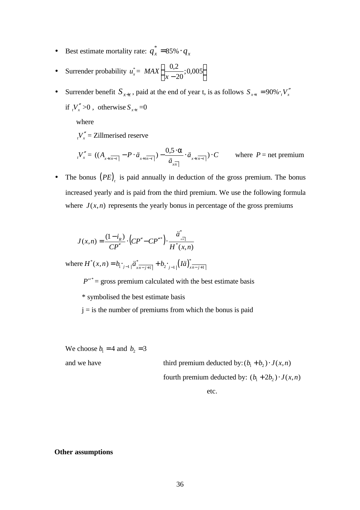- Best estimate mortality rate:  $q_x^* =$  $q_x^* = 85\% \cdot q_x^*$
- Surrender probability  $u_x^* = MAX$ *x* 0 20  $\frac{2}{20}$ ; 0,005 −  $\vert$ ∤  $\mathsf{L}$  $\mathbf{I}$ ł J
- Surrender benefit  $S_{x+t}$ , paid at the end of year t, is as follows  $S_{x+t} = 90\% \cdot {}_{t}V_{x}''$ if  $V_x$   $>0$ , otherwise  $S_{x+t} = 0$

where

 $t_v V_x'' = \text{Zillmerised reserve}$ 

$$
{}_{t}V''_{x} = ((A_{x+i\overline{n-t}} - P \cdot \ddot{a}_{x+i\overline{n-t}}) - \frac{0.5 \cdot \mathbf{a}}{\ddot{a}_{x\overline{n}}} \cdot \ddot{a}_{x+i\overline{n-t}}) \cdot C \qquad \text{where } P = \text{net premium}
$$

• The bonus  $(PE)$ <sub>t</sub> is paid annually in deduction of the gross premium. The bonus increased yearly and is paid from the third premium. We use the following formula where  $J(x, n)$  represents the yearly bonus in percentage of the gross premiums

$$
J(x,n) = \frac{(1-i_R)}{CP''} \cdot (CP'' - CP''^*) \cdot \frac{\ddot{a}^*}{H^*(x,n)}
$$

where  $H^{*}(x, n) = b_{1 \cdot j-1} \mid \frac{a^{*}}{x^{n-j+1}} + b_{2 \cdot j-1} \mid (I\ddot{a})^{*}_{x^{n-j+1}}$ 

 $P''^*$  = gross premium calculated with the best estimate basis

\* symbolised the best estimate basis

 $j = i$  s the number of premiums from which the bonus is paid

We choose  $b_1 = 4$  and  $b_2 = 3$ 

and we have third premium deducted by:  $(b_1 + b_2) \cdot J(x, n)$ fourth premium deducted by:  $(b_1 + 2b_2) \cdot J(x, n)$ 

etc.

#### **Other assumptions**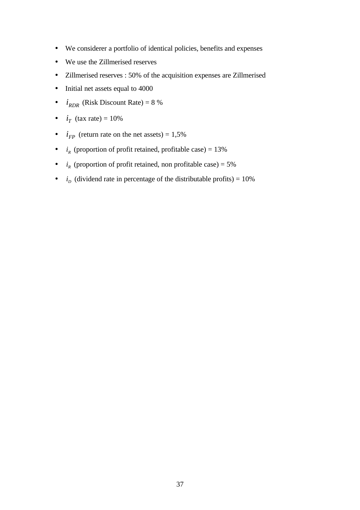- We considerer a portfolio of identical policies, benefits and expenses
- We use the Zillmerised reserves
- Zillmerised reserves : 50% of the acquisition expenses are Zillmerised
- Initial net assets equal to 4000
- $i_{RDR}$  (Risk Discount Rate) = 8 %
- $i_T$  (tax rate) = 10%
- $i_{FP}$  (return rate on the net assets) = 1,5%
- $i<sub>R</sub>$  (proportion of profit retained, profitable case) = 13%
- $i_R$  (proportion of profit retained, non profitable case) = 5%
- $\bullet$  *i*<sub>D</sub> (dividend rate in percentage of the distributable profits) = 10%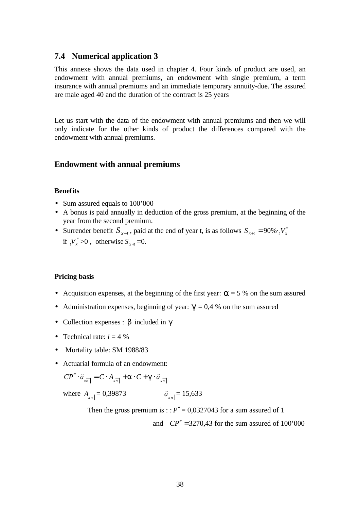### **7.4 Numerical application 3**

This annexe shows the data used in chapter 4. Four kinds of product are used, an endowment with annual premiums, an endowment with single premium, a term insurance with annual premiums and an immediate temporary annuity-due. The assured are male aged 40 and the duration of the contract is 25 years

Let us start with the data of the endowment with annual premiums and then we will only indicate for the other kinds of product the differences compared with the endowment with annual premiums.

### **Endowment with annual premiums**

#### **Benefits**

- Sum assured equals to 100'000
- A bonus is paid annually in deduction of the gross premium, at the beginning of the year from the second premium.
- Surrender benefit  $S_{x+t}$ , paid at the end of year t, is as follows  $S_{x+t} = 90\% \cdot t \cdot V_x$ if  $V''_x > 0$ , otherwise  $S_{x+t} = 0$ .

### **Pricing basis**

- Acquisition expenses, at the beginning of the first year:  $a = 5\%$  on the sum assured
- Administration expenses, beginning of year:  $g = 0.4$  % on the sum assured
- Collection expenses : *b* included in *g*
- Technical rate:  $i = 4\%$
- Mortality table: SM 1988/83
- Actuarial formula of an endowment:

$$
CP'' \cdot \ddot{a}_{x\overline{n}|} = C \cdot A_{x\overline{n}|} + \mathbf{a} \cdot C + \mathbf{g} \cdot \ddot{a}_{x\overline{n}|}
$$

where  $A_{\overline{x_n}} = 0.39873$   $\ddot{a}_{\overline{x_n}} = 15.633$ 

Then the gross premium is ::  $P'' = 0.0327043$  for a sum assured of 1

and  $CP'' = 3270.43$  for the sum assured of  $100'000$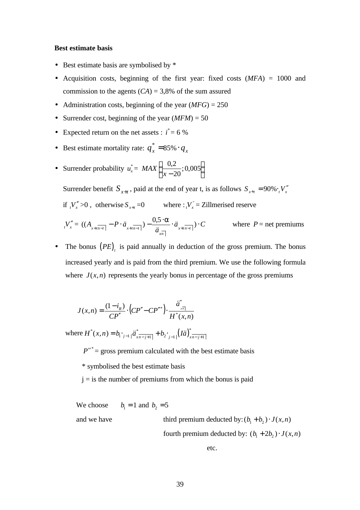#### **Best estimate basis**

- Best estimate basis are symbolised by  $*$
- Acquisition costs, beginning of the first year: fixed costs (*MFA*) = 1000 and commission to the agents  $(CA) = 3,8\%$  of the sum assured
- Administration costs, beginning of the year  $(MFG) = 250$
- Surrender cost, beginning of the year  $(MFM) = 50$
- Expected return on the net assets :  $i^* = 6\%$
- Best estimate mortality rate:  $q_x^* =$  $q_x^* = 85\% \cdot q_x$
- Surrender probability  $u_x^* = MAX$ *x* 0 20  $\frac{2}{20}$ ; 0,005 −  $\vert$ ∤  $\mathsf{l}$  $\mathbf{I}$  $\left\{ \right\}$ J

Surrender benefit  $S_{x+t}$ , paid at the end of year t, is as follows  $S_{x+t} = 90\% \cdot {}_{t}V_{x}^{m}$ if  $\Delta V''$  >0, otherwise  $S_{x+t} = 0$  where :  $V_x = Z$ illmerised reserve

$$
V''_x = ((A_{x + t\overline{n - t}} - P \cdot \ddot{a}_{x + t\overline{n - t}}) - \frac{0.5 \cdot a}{\ddot{a}_{x\overline{n}}} \cdot \ddot{a}_{x + t\overline{n - t}}) \cdot C \qquad \text{where } P = \text{net premiums}
$$

• The bonus  $(PE)$ <sub>t</sub> is paid annually in deduction of the gross premium. The bonus increased yearly and is paid from the third premium. We use the following formula where  $J(x, n)$  represents the yearly bonus in percentage of the gross premiums

$$
J(x,n) = \frac{(1-i_R)}{CP''} \cdot (CP'' - CP''^*) \cdot \frac{\ddot{a}^*}{H^*(x,n)}
$$

where  $H^{*}(x, n) = b_{1} \cdot_{j-1} \mid \ddot{a}_{x \overline{n-j+1}}^{*} \mid + b_{2} \cdot_{j-1} \mid (I \ddot{a})_{x \overline{n-j+1}}^{*}$ 

 $P''^*$  = gross premium calculated with the best estimate basis

\* symbolised the best estimate basis

 $j = i$  s the number of premiums from which the bonus is paid

We choose  $b_1 = 1$  and  $b_2 = 5$ 

and we have third premium deducted by:  $(b_1 + b_2) \cdot J(x, n)$ fourth premium deducted by:  $(b_1 + 2b_2) \cdot J(x, n)$ 

etc.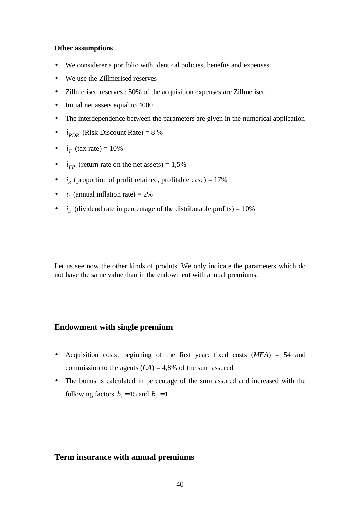#### **Other assumptions**

- We considerer a portfolio with identical policies, benefits and expenses
- We use the Zillmerised reserves
- Zillmerised reserves : 50% of the acquisition expenses are Zillmerised
- Initial net assets equal to 4000
- The interdependence between the parameters are given in the numerical application
- $i_{RDR}$  (Risk Discount Rate) = 8 %
- $i_T$  (tax rate) = 10%
- $i_{FP}$  (return rate on the net assets) = 1,5%
- $i_R$  (proportion of profit retained, profitable case) = 17%
- $i_i$  (annual inflation rate) = 2%
- $\bullet$  *i<sub>D</sub>* (dividend rate in percentage of the distributable profits) = 10%

Let us see now the other kinds of produts. We only indicate the parameters which do not have the same value than in the endowment with annual premiums.

### **Endowment with single premium**

- Acquisition costs, beginning of the first year: fixed costs (*MFA*) = 54 and commission to the agents  $(CA) = 4,8%$  of the sum assured
- The bonus is calculated in percentage of the sum assured and increased with the following factors  $b_1 = 15$  and  $b_2 = 1$

## **Term insurance with annual premiums**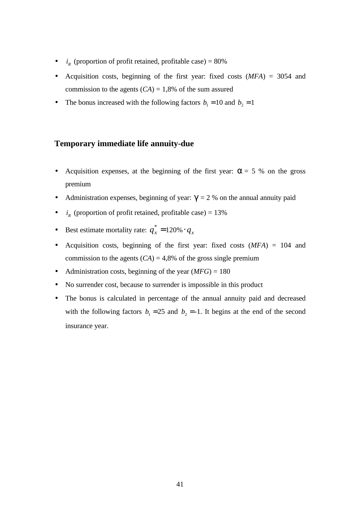- $i_R$  (proportion of profit retained, profitable case) =  $80\%$
- Acquisition costs, beginning of the first year: fixed costs (*MFA*) = 3054 and commission to the agents  $(CA) = 1,8%$  of the sum assured
- The bonus increased with the following factors  $b_1 = 10$  and  $b_2 = 1$

### **Temporary immediate life annuity-due**

- Acquisition expenses, at the beginning of the first year:  $a = 5$  % on the gross premium
- Administration expenses, beginning of year:  $g = 2$  % on the annual annuity paid
- $i_R$  (proportion of profit retained, profitable case) = 13%
- Best estimate mortality rate:  $q_x^* =$  $q_x^* = 120\% \cdot q_x$
- Acquisition costs, beginning of the first year: fixed costs (*MFA*) = 104 and commission to the agents  $(CA) = 4,8%$  of the gross single premium
- Administration costs, beginning of the year (*MFG*) = 180
- No surrender cost, because to surrender is impossible in this product
- The bonus is calculated in percentage of the annual annuity paid and decreased with the following factors  $b_1 = 25$  and  $b_2 = -1$ . It begins at the end of the second insurance year.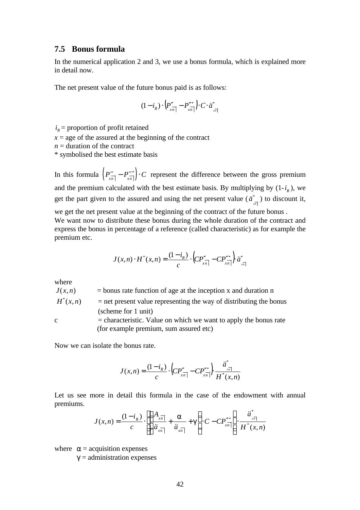### **7.5 Bonus formula**

In the numerical application 2 and 3, we use a bonus formula, which is explained more in detail now.

The net present value of the future bonus paid is as follows:

$$
(1-i_R)\cdot\left(P''_{\overline{x\overline{n|}}} - P'''_{\overline{x\overline{n|}}}\right)\cdot C\cdot\ddot{a}^*_{\overline{x\overline{n|}}}
$$

 $i_R$  = proportion of profit retained

 $x =$  age of the assured at the beginning of the contract

 $n =$  duration of the contract

\* symbolised the best estimate basis

In this formula  $\left( P''_{\frac{x}{x\sqrt{n}}} - P''_{\frac{x}{x\sqrt{n}}} \right) \cdot C$  represent the difference between the gross premium and the premium calculated with the best estimate basis. By multiplying by  $(1-i_R)$ , we get the part given to the assured and using the net present value  $(\ddot{a}_{\frac{1}{x\bar{n}}})$  to discount it, we get the net present value at the beginning of the contract of the future bonus .

We want now to distribute these bonus during the whole duration of the contract and express the bonus in percentage of a reference (called characteristic) as for example the premium etc.

$$
J(x,n) \cdot H^*(x,n) = \frac{(1-i_R)}{c} \cdot \left( CP''_{x\overline{n}|} - CP'''_{x\overline{n}|} \right) \ddot{a}_{x\overline{n}|}^*
$$

where

$$
J(x,n) = \text{bonus rate function of age at the inception x and duration n}
$$
\n
$$
H^*(x,n) = \text{net present value representing the way of distributing the bonus (scheme for 1 unit)}
$$
\n
$$
= \text{characteristic. Value on which we want to apply the bonus rate (for example premium, sum assured etc.)}
$$

Now we can isolate the bonus rate.

$$
J(x,n) = \frac{(1-i_R)}{c} \cdot \left( CP''_{\frac{\pi}{x}} - CP'''_{\frac{\pi}{x}} \right) \frac{\ddot{a}^*_{\frac{\pi}{x}}}{H^*(x,n)}
$$

Let us see more in detail this formula in the case of the endowment with annual premiums.

$$
J(x,n) = \frac{(1-i_R)}{c} \cdot \left[ \left( \frac{A_{x\overline{n}}}{\ddot{a}_{x\overline{n}}} + \frac{\mathbf{a}}{\ddot{a}_{x\overline{n}}} + \mathbf{g} \right) \cdot C - C P_{x\overline{n}}^{\mathbf{r}^*} \right] \cdot \frac{\ddot{a}_{x\overline{n}}^*}{H^*(x,n)}
$$

where  $a =$  acquisition expenses

 $g =$  administration expenses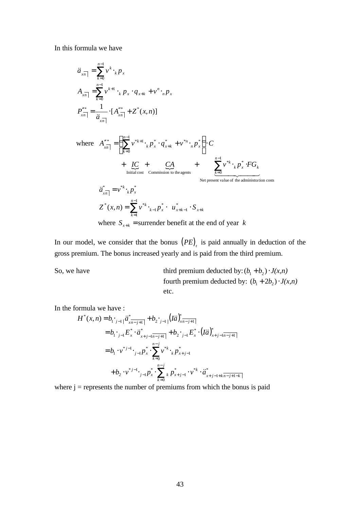In this formula we have

$$
\ddot{a}_{x\overline{n}} = \sum_{k=0}^{n-1} v^k \cdot_k p_x
$$
\n
$$
A_{x\overline{n}} = \sum_{k=0}^{n-1} v^{k+1} \cdot_k p_x \cdot q_{x+k} + v^n \cdot_n p_x
$$
\n
$$
P_{x\overline{n}}^{\prime\prime\prime\prime\prime\prime} = \frac{1}{\ddot{a}_{x\overline{n}}} \cdot [A_{x\overline{n}}^{\prime\prime\prime\prime\prime\prime} + Z^*(x, n)]
$$
\nwhere\n
$$
A_{x\overline{n}}^{\prime\prime\prime\prime\prime\prime\prime} = \left(\sum_{k=0}^{n-1} v^{*k+1} \cdot_k p_x^* \cdot q_{x+k}^* + v^{*n} \cdot_n p_x^* \right) \cdot C
$$
\n
$$
+ \underbrace{IC}_{\text{Initial cost}} + \underbrace{CA}_{\text{Commission to the agents}} + \underbrace{\sum_{k=0}^{n-1} v^{*k} \cdot_k p_x^* \cdot FG_k}_{\text{Net present value of the administration costs}}
$$
\n
$$
\ddot{a}_{x\overline{n}}^* = v^{*k} \cdot_k p_x^*
$$
\n
$$
Z^*(x, n) = \sum_{k=1}^{n-1} v^{*k} \cdot_{k-1} p_x^* \cdot u_{x+k-1}^* \cdot S_{x+k}
$$
\nwhere\n
$$
S_{x+k} = \text{surrender benefit at the end of year } k
$$

In our model, we consider that the bonus  $(PE)$ <sub>t</sub> is paid annually in deduction of the gross premium. The bonus increased yearly and is paid from the third premium.

So, we have third premium deducted by:  $(b_1 + b_2) \cdot J(x, n)$ fourth premium deducted by:  $(b_1 + 2b_2) \cdot J(x, n)$ etc.

In the formula we have :

$$
H^{*}(x, n) = b_{1 \cdot j-1} |\ddot{a}_{x n-j+1}^{*}| + b_{2 \cdot j-1} |(I\ddot{a})_{x n-j+1}^{*}|
$$
  
\n
$$
= b_{1 \cdot j-1} E_{x}^{*} \cdot \ddot{a}_{x+j-1}^{*} + b_{2 \cdot j-1} E_{x}^{*} \cdot (I\ddot{a})_{x+j-1}^{*}
$$
  
\n
$$
= b_{1} \cdot v^{*j-1} \cdot b_{j-1} e_{x}^{*} \cdot \sum_{k=0}^{n-j} v^{*k} \cdot k P_{x+j-1}^{*}
$$
  
\n
$$
+ b_{2} \cdot v^{*j-1} \cdot b_{j-1} e_{x}^{*} \cdot \sum_{k=0}^{n-j} k P_{x+j-1}^{*} \cdot v^{*k} \cdot \ddot{a}_{x+j-1}^{*} + b_{n-j+1-k} |
$$

where  $j =$  represents the number of premiums from which the bonus is paid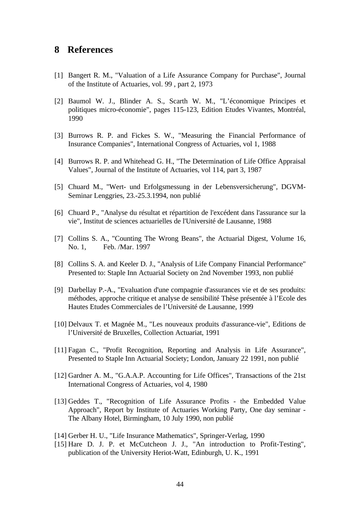## **8 References**

- [1] Bangert R. M., "Valuation of a Life Assurance Company for Purchase", Journal of the Institute of Actuaries, vol. 99 , part 2, 1973
- [2] Baumol W. J., Blinder A. S., Scarth W. M., "L'économique Principes et politiques micro-économie", pages 115-123, Edition Etudes Vivantes, Montréal, 1990
- [3] Burrows R. P. and Fickes S. W., "Measuring the Financial Performance of Insurance Companies", International Congress of Actuaries, vol 1, 1988
- [4] Burrows R. P. and Whitehead G. H., "The Determination of Life Office Appraisal Values", Journal of the Institute of Actuaries, vol 114, part 3, 1987
- [5] Chuard M., "Wert- und Erfolgsmessung in der Lebensversicherung", DGVM-Seminar Lenggries, 23.-25.3.1994, non publié
- [6] Chuard P., "Analyse du résultat et répartition de l'excédent dans l'assurance sur la vie", Institut de sciences actuarielles de l'Université de Lausanne, 1988
- [7] Collins S. A., "Counting The Wrong Beans", the Actuarial Digest, Volume 16, No. 1, Feb. /Mar. 1997
- [8] Collins S. A. and Keeler D. J., "Analysis of Life Company Financial Performance" Presented to: Staple Inn Actuarial Society on 2nd November 1993, non publié
- [9] Darbellay P.-A., "Evaluation d'une compagnie d'assurances vie et de ses produits: méthodes, approche critique et analyse de sensibilité Thèse présentée à l'Ecole des Hautes Etudes Commerciales de l'Université de Lausanne, 1999
- [10] Delvaux T. et Magnée M., "Les nouveaux produits d'assurance-vie", Editions de l'Université de Bruxelles, Collection Actuariat, 1991
- [11] Fagan C., "Profit Recognition, Reporting and Analysis in Life Assurance", Presented to Staple Inn Actuarial Society; London, January 22 1991, non publié
- [12] Gardner A. M., "G.A.A.P. Accounting for Life Offices", Transactions of the 21st International Congress of Actuaries, vol 4, 1980
- [13] Geddes T., "Recognition of Life Assurance Profits the Embedded Value Approach", Report by Institute of Actuaries Working Party, One day seminar - The Albany Hotel, Birmingham, 10 July 1990, non publié
- [14] Gerber H. U., "Life Insurance Mathematics", Springer-Verlag, 1990
- [15] Hare D. J. P. et McCutcheon J. J., "An introduction to Profit-Testing", publication of the University Heriot-Watt, Edinburgh, U. K., 1991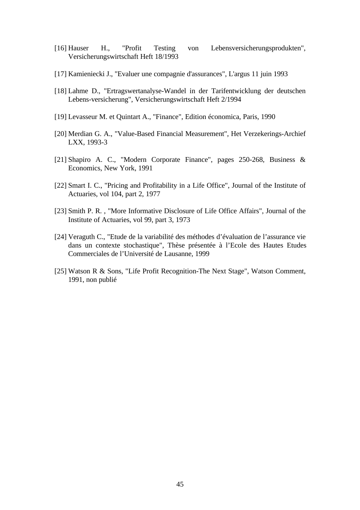- [16] Hauser H., "Profit Testing von Lebensversicherungsprodukten", Versicherungswirtschaft Heft 18/1993
- [17] Kamieniecki J., "Evaluer une compagnie d'assurances", L'argus 11 juin 1993
- [18] Lahme D., "Ertragswertanalyse-Wandel in der Tarifentwicklung der deutschen Lebens-versicherung", Versicherungswirtschaft Heft 2/1994
- [19] Levasseur M. et Quintart A., "Finance", Edition économica, Paris, 1990
- [20] Merdian G. A., "Value-Based Financial Measurement", Het Verzekerings-Archief LXX, 1993-3
- [21] Shapiro A. C., "Modern Corporate Finance", pages 250-268, Business & Economics, New York, 1991
- [22] Smart I. C., "Pricing and Profitability in a Life Office", Journal of the Institute of Actuaries, vol 104, part 2, 1977
- [23] Smith P. R. , "More Informative Disclosure of Life Office Affairs", Journal of the Institute of Actuaries, vol 99, part 3, 1973
- [24] Veraguth C., "Etude de la variabilité des méthodes d'évaluation de l'assurance vie dans un contexte stochastique", Thèse présentée à l'Ecole des Hautes Etudes Commerciales de l'Université de Lausanne, 1999
- [25] Watson R & Sons, "Life Profit Recognition-The Next Stage", Watson Comment, 1991, non publié